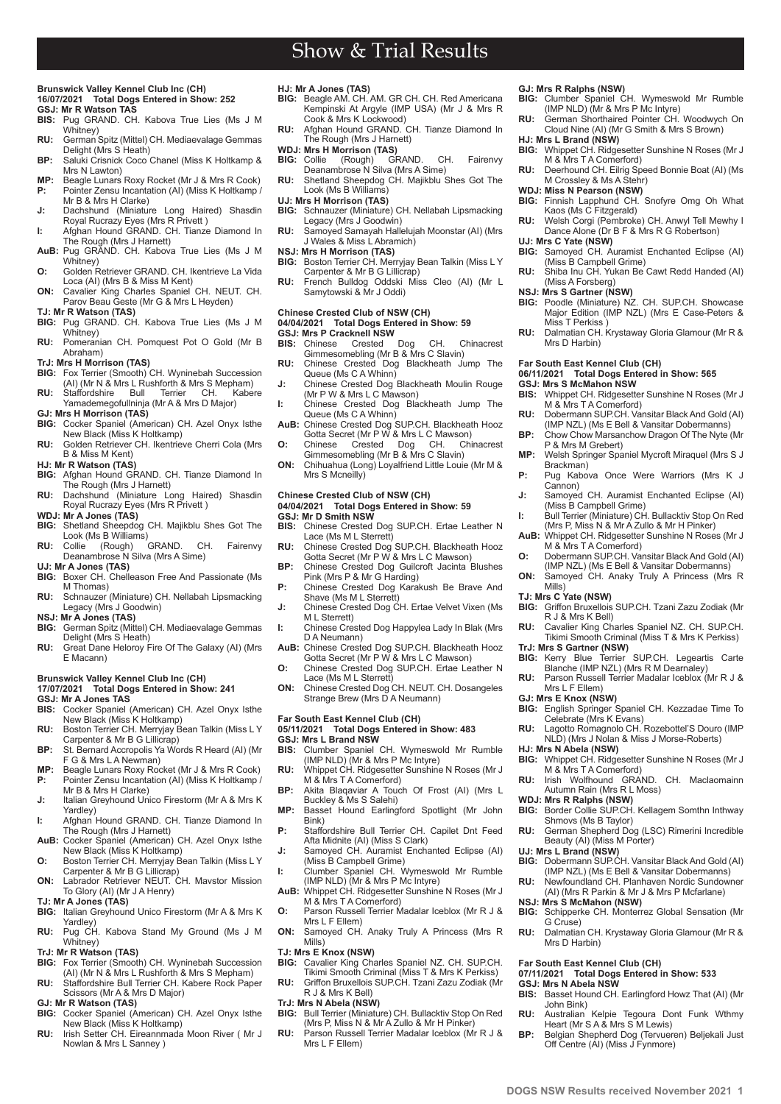### **Brunswick Valley Kennel Club Inc (CH) 16/07/2021 Total Dogs Entered in Show: 252**

- **GSJ: Mr R Watson TAS BIS:** Pug GRAND. CH. Kabova True Lies (Ms J M
- Whitney) **RU:** German Spitz (Mittel) CH. Mediaevalage Gemmas
- Delight (Mrs S Heath) **BP:** Saluki Crisnick Coco Chanel (Miss K Holtkamp &
- Mrs N Lawton)
- **MP:** Beagle Lunars Roxy Rocket (Mr J & Mrs R Cook)<br>**P:** Pointer Zensu Incantation (AI) (Miss K Holtkamp) Pointer Zensu Incantation (AI) (Miss K Holtkamp<sup>/</sup> Mr B & Mrs H Clarke)
- **J:** Dachshund (Miniature Long Haired) Shasdin Royal Rucrazy Eyes (Mrs R Privett ) **I:** Afghan Hound GRAND. CH. Tianze Diamond In
- The Rough (Mrs J Harnett) **AuB:** Pug GRAND. CH. Kabova True Lies (Ms J M
- Whitney) **O:** Golden Retriever GRAND. CH. Ikentrieve La Vida
- Loca (AI) (Mrs B & Miss M Kent) **ON:** Cavalier King Charles Spaniel CH. NEUT. CH. Parov Beau Geste (Mr G & Mrs L Heyden)
- **TJ: Mr R Watson (TAS)**
- BIG: Pug GRAND. CH. Kabova True Lies (Ms J M Whitney)
- **RU:** Pomeranian CH. Pomquest Pot O Gold (Mr B Abraham)
- 
- **TrJ: Mrs H Morrison (TAS)**<br>**BIG:** Fox Terrier (Smooth) CH. Wyninebah Succession<br>(AI) (Mr N & Mrs L Rushforth & Mrs S Mepham)
- **RU:** Staffordshire Bull Terrier CH. Kabere Yamademegofullninja (Mr A & Mrs D Major)
- **GJ: Mrs H Morrison (TAS)**
- **BIG:** Cocker Spaniel (American) CH. Azel Onyx Isthe New Black (Miss K Holtkamp)
- **RU:** Golden Retriever CH. Ikentrieve Cherri Cola (Mrs B & Miss M Kent) **HJ: Mr R Watson (TAS)**
- **BIG:** Afghan Hound GRAND. CH. Tianze Diamond In The Rough (Mrs J Harnett)
- **RU:** Dachshund (Miniature Long Haired) Shasdin Royal Rucrazy Eyes (Mrs R Privett )
- **WDJ: Mr A Jones (TAS)**
- **BIG:** Shetland Sheepdog CH. Majikblu Shes Got The Look (Ms B Williams)<br>Collie (Rough) GRAND.
- **RU:** Collie (Rough) GRAND. CH. Fairenvy Deanambrose N Silva (Mrs A Sime) **UJ: Mr A Jones (TAS)**
- **BIG:** Boxer CH. Chelleason Free And Passionate (Ms M Thomas)
- **RU:** Schnauzer (Miniature) CH. Nellabah Lipsmacking Legacy (Mrs J Goodwin)
- **NSJ: Mr A Jones (TAS)**
- **BIG:** German Spitz (Mittel) CH. Mediaevalage Gemmas Delight (Mrs S Heath)
- **RU:** Great Dane Heloroy Fire Of The Galaxy (AI) (Mrs E Macann)

### **Brunswick Valley Kennel Club Inc (CH)**

- **17/07/2021 Total Dogs Entered in Show: 241**
- **GSJ: Mr A Jones TAS BIS:** Cocker Spaniel (American) CH. Azel Onyx Isthe
- New Black (Miss K Holtkamp)
- **RU:** Boston Terrier CH. Merryjay Bean Talkin (Miss L Y Carpenter & Mr B G Lillicrap) **BP:** St. Bernard Accropolis Ya Words R Heard (AI) (Mr
- F G & Mrs L A Newman) **MP:** Beagle Lunars Roxy Rocket (Mr J & Mrs R Cook)<br>**P:** Pointer Zensu Incantation (AI) (Miss K Holtkamp)
- **P:** Pointer Zensu Incantation (AI) (Miss K Holtkamp / Mr B & Mrs H Clarke) **J:** Italian Greyhound Unico Firestorm (Mr A & Mrs K
- Yardley) **I:** Afghan Hound GRAND. CH. Tianze Diamond In
- The Rough (Mrs J Harnett)
- **AuB:** Cocker Spaniel (American) CH. Azel Onyx Isthe New Black (Miss K Holtkamp) **O:** Boston Terrier CH. Merryjay Bean Talkin (Miss L Y
- Carpenter & Mr B G Lillicrap) **ON:** Labrador Retriever NEUT. CH. Mavstor Mission To Glory (AI) (Mr J A Henry)
- **TJ: Mr A Jones (TAS)**
- **BIG:** Italian Greyhound Unico Firestorm (Mr A & Mrs K
- Yardley) **RU:** Pug CH. Kabova Stand My Ground (Ms J M Whitney)
- **TrJ: Mr R Watson (TAS)**
- **BIG:** Fox Terrier (Smooth) CH. Wyninebah Succession (AI) (Mr N & Mrs L Rushforth & Mrs S Mepham) **RU:** Staffordshire Bull Terrier CH. Kabere Rock Paper
- Scissors (Mr A & Mrs D Major)
- **GJ: Mr R Watson (TAS)**

**PDGS NSW Results received November 2021 1** 

- **BIG:** Cocker Spaniel (American) CH. Azel Onyx Isthe New Black (Miss K Holtkamp)
- **RU:** Irish Setter CH. Eireannmada Moon River ( Mr J Nowlan & Mrs L Sanney )
- 
- **HJ: Mr A Jones (TAS)**<br>**BIG:** Beagle AM. CH. AM. GR CH. CH. Red Americana<br>Kempinski At Argyle (IMP USA) (Mr J & Mrs R
- Cook & Mrs K Lockwood) **RU:** Afghan Hound GRAND. CH. Tianze Diamond In The Rough (Mrs J Harnett)
- **WDJ: Mrs H Morrison (TAS)**<br>**BIG:** Collie (Rough) GF
- **BIG:** Collie (Rough) GRAND. CH. Fairenvy Deanambrose N Silva (Mrs A Sime)
- **RU:** Shetland Sheepdog CH. Majikblu Shes Got The Look (Ms B Williams)
	-
- **UJ: Mrs H Morrison (TAS) BIG:** Schnauzer (Miniature) CH. Nellabah Lipsmacking Legacy (Mrs J Goodwin)
- **RU:** Samoyed Samayah Hallelujah Moonstar (AI) (Mrs J Wales & Miss L Abramich) **NSJ: Mrs H Morrison (TAS)**
- 
- **BIG:** Boston Terrier CH. Merryjay Bean Talkin (Miss L Y Carpenter & Mr B G Lillicrap)
- **RU:** French Bulldog Oddski Miss Cleo (AI) (Mr L Samytowski & Mr J Oddi)

## **Chinese Crested Club of NSW (CH)**

## **04/04/2021 Total Dogs Entered in Show: 59 GSJ: Mrs P Cracknell NSW**<br>**BIS:** Chinese Crested

- **BIS:** Chinese Crested Dog CH. Chinacrest Gimmesomebling (Mr B & Mrs C Slavin)
- **RU:** Chinese Crested Dog Blackheath Jump The Queue (Ms C A Whinn)
- **J:** Chinese Crested Dog Blackheath Moulin Rouge (Mr P W & Mrs L C Mawson)
- **I:** Chinese Crested Dog Blackheath Jump The
- Queue (Ms C A Whinn)<br>**AuB:** Chinese Crested Dog SUP.CH. Blackheath Hooz<br>Gotta Secret (Mr P W & Mrs L C Mawson)
- **O:** Chinese Crested Dog CH. Chinacrest Gimmesomebling (Mr B & Mrs C Slavin)
- **ON:** Chihuahua (Long) Loyalfriend Little Louie (Mr M & Mrs S Mcneilly)

### **Chinese Crested Club of NSW (CH)**

# **04/04/2021 Total Dogs Entered in Show: 59**

- **GSJ: Mr D Smith NSW BIS:** Chinese Crested Dog SUP.CH. Ertae Leather N Lace (Ms M L Sterrett)
- **RU:** Chinese Crested Dog SUP.CH. Blackheath Hooz Gotta Secret (Mr P W & Mrs L C Mawson) **BP:** Chinese Crested Dog Guilcroft Jacinta Blushes
- Pink (Mrs P & Mr G Harding) P: Chinese Crested Dog Karakush Be Brave And
- Shave (Ms M L Sterrett)
- **J:** Chinese Crested Dog CH. Ertae Velvet Vixen (Ms M L Sterrett)
- **I:** Chinese Crested Dog Happylea Lady In Blak (Mrs D A Neumann)
- **AuB:** Chinese Crested Dog SUP.CH. Blackheath Hooz Gotta Secret (Mr P W & Mrs L C Mawson)
- **O:** Chinese Crested Dog SUP.CH. Ertae Leather N Lace (Ms M L Sterrett)
- **ON:** Chinese Crested Dog CH. NEUT. CH. Dosangeles Strange Brew (Mrs D A Neumann)

### **Far South East Kennel Club (CH)**

## **05/11/2021 Total Dogs Entered in Show: 483**

- **GSJ: Mrs L Brand NSW**
- **BIS:** Clumber Spaniel CH. Wymeswold Mr Rumble (IMP NLD) (Mr & Mrs P Mc Intyre) **RU:** Whippet CH. Ridgesetter Sunshine N Roses (Mr J M & Mrs T A Comerford)
- **BP:** Akita Blaqaviar A Touch Of Frost (AI) (Mrs L Buckley & Ms S Salehi)
- **MP:** Basset Hound Earlingford Spotlight (Mr John Bink)
- **P:** Staffordshire Bull Terrier CH. Capilet Dnt Feed Afta Midnite (AI) (Miss S Clark) **J:** Samoyed CH. Auramist Enchanted Eclipse (AI)
- (Miss B Campbell Grime)
- **I:** Clumber Spaniel CH. Wymeswold Mr Rumble (IMP NLD) (Mr & Mrs P Mc Intyre) **AuB:** Whippet CH. Ridgesetter Sunshine N Roses (Mr J
- M & Mrs T A Comerford) **O:** Parson Russell Terrier Madalar Iceblox (Mr R J &
- Mrs L F Ellem) **ON:** Samoyed CH. Anaky Truly A Princess (Mrs R Mills)

# **TJ: Mrs E Knox (NSW)**<br>**BIG:** Cavalier King Cha

## **BIG:** Cavalier King Charles Spaniel NZ. CH. SUP.CH.

Tikimi Smooth Criminal (Miss T & Mrs K Perkiss) **RU:** Griffon Bruxellois SUP.CH. Tzani Zazu Zodiak (Mr

## R J & Mrs K Bell)

- **TrJ: Mrs N Abela (NSW) BIG:** Bull Terrier (Miniature) CH. Bullacktiv Stop On Red (Mrs P, Miss N & Mr A Zullo & Mr H Pinker)
- **RU:** Parson Russell Terrier Madalar Iceblox (Mr R J & Mrs L F Ellem)

## **GJ: Mrs R Ralphs (NSW) BIG:** Clumber Spaniel CH. Wymeswold Mr Rumble (IMP NLD) (Mr & Mrs P Mc Intyre)

**HJ: Mrs L Brand (NSW)**

**UJ: Mrs C Yate (NSW)**

M & Mrs T A Comerford)

M Crossley & Ms A Stehr) **WDJ: Miss N Pearson (NSW)**

(Miss B Campbell Grime)

(Miss A Forsberg)

Miss T Perkiss

Mrs D Harbin)

**GSJ: Mrs S McMahon NSW**

**Far South East Kennel Club (CH)** 

M & Mrs T A Comerford)

M & Mrs T A Comerford)

R J & Mrs K Bell)

**TrJ: Mrs S Gartner (NSW)**

Mrs L F Ellem) **GJ: Mrs E Knox (NSW)**

**HJ: Mrs N Abela (NSW)**

**UJ: Mrs L Brand (NSW)**

G Cruse)

Mrs D Harbin)

**GSJ: Mrs N Abela NSW**

John Bink)

**NSJ: Mrs S McMahon (NSW)**<br>**BIG:** Schipperke CH. Monterr

**Far South East Kennel Club (CH)** 

M & Mrs T A Comerford)

Shmovs (Ms B Taylor)

Beauty (AI) (Miss M Porter)

Autumn Rain (Mrs R L Moss)

P & Mrs M Grebert)

Brackman)

Cannon)

Mills) **TJ: Mrs C Yate (NSW)**

**RU:** German Shorthaired Pointer CH. Woodwych On Cloud Nine (AI) (Mr G Smith & Mrs S Brown)

**BIG:** Whippet CH. Ridgesetter Sunshine N Roses (Mr J

**RU:** Deerhound CH. Eilrig Speed Bonnie Boat (AI) (Ms

**BIG:** Finnish Lapphund CH. Snofyre Omg Oh What Kaos (Ms C Fitzgerald) **RU:** Welsh Corgi (Pembroke) CH. Anwyl Tell Mewhy I Dance Alone (Dr B F & Mrs R G Robertson)

**RU:** Shiba Inu CH. Yukan Be Cawt Redd Handed (AI)

**NSJ: Mrs S Gartner (NSW) BIG:** Poodle (Miniature) NZ. CH. SUP.CH. Showcase Major Edition (IMP NZL) (Mrs E Case-Peters &

**RU:** Dalmatian CH. Krystaway Gloria Glamour (Mr R &

**BIS:** Whippet CH. Ridgesetter Sunshine N Roses (Mr J

**RU:** Dobermann SUP.CH. Vansitar Black And Gold (AI) (IMP NZL) (Ms E Bell & Vansitar Dobermanns) **BP:** Chow Chow Marsanchow Dragon Of The Nyte (Mr

**MP:** Welsh Springer Spaniel Mycroft Miraquel (Mrs S J

P: Pug Kabova Once Were Warriors (Mrs K J

**J:** Samoyed CH. Auramist Enchanted Eclipse (AI) (Miss B Campbell Grime) **I:** Bull Terrier (Miniature) CH. Bullacktiv Stop On Red (Mrs P, Miss N & Mr A Zullo & Mr H Pinker) **AuB:** Whippet CH. Ridgesetter Sunshine N Roses (Mr J

**O:** Dobermann SUP.CH. Vansitar Black And Gold (AI) (IMP NZL) (Ms E Bell & Vansitar Dobermanns) **ON:** Samoyed CH. Anaky Truly A Princess (Mrs R

**BIG:** Griffon Bruxellois SUP.CH. Tzani Zazu Zodiak (Mr

**RU:** Cavalier King Charles Spaniel NZ. CH. SUP.CH. Tikimi Smooth Criminal (Miss T & Mrs K Perkiss)

**BIG:** Kerry Blue Terrier SUP.CH. Legeartis Carte<br>Blanche (IMP NZL) (Mrs R M Dearnaley)<br>**RU:** Parson Russell Terrier Madalar Iceblox (Mr R J &

**BIG:** English Springer Spaniel CH. Kezzadae Time To Celebrate (Mrs K Evans) **RU:** Lagotto Romagnolo CH. Rozebottel'S Douro (IMP NLD) (Mrs J Nolan & Miss J Morse-Roberts)

**BIG:** Whippet CH. Ridgesetter Sunshine N Roses (Mr J

RU: Irish Wolfhound GRAND. CH. Maclaomainn

**WDJ: Mrs R Ralphs (NSW) BIG:** Border Collie SUP.CH. Kellagem Somthn Inthway

**RU:** German Shepherd Dog (LSC) Rimerini Incredible

**BIG:** Dobermann SUP.CH. Vansitar Black And Gold (AI) (IMP NZL) (Ms E Bell & Vansitar Dobermanns) **RU:** Newfoundland CH. Planhaven Nordic Sundowner (AI) (Mrs R Parkin & Mr J & Mrs P Mcfarlane)

**RU:** Dalmatian CH. Krystaway Gloria Glamour (Mr R &

**BIS:** Basset Hound CH. Earlingford Howz That (AI) (Mr

**RU:** Australian Kelpie Tegoura Dont Funk Wthmy Heart (Mr S A & Mrs S M Lewis) **BP:** Belgian Shepherd Dog (Tervueren) Beljekali Just Off Centre (AI) (Miss J Fynmore)

**07/11/2021 Total Dogs Entered in Show: 533**

**BIG:** Schipperke CH. Monterrez Global Sensation (Mr

**06/11/2021 Total Dogs Entered in Show: 565**

**BIG:** Samoyed CH. Auramist Enchanted Eclipse (AI)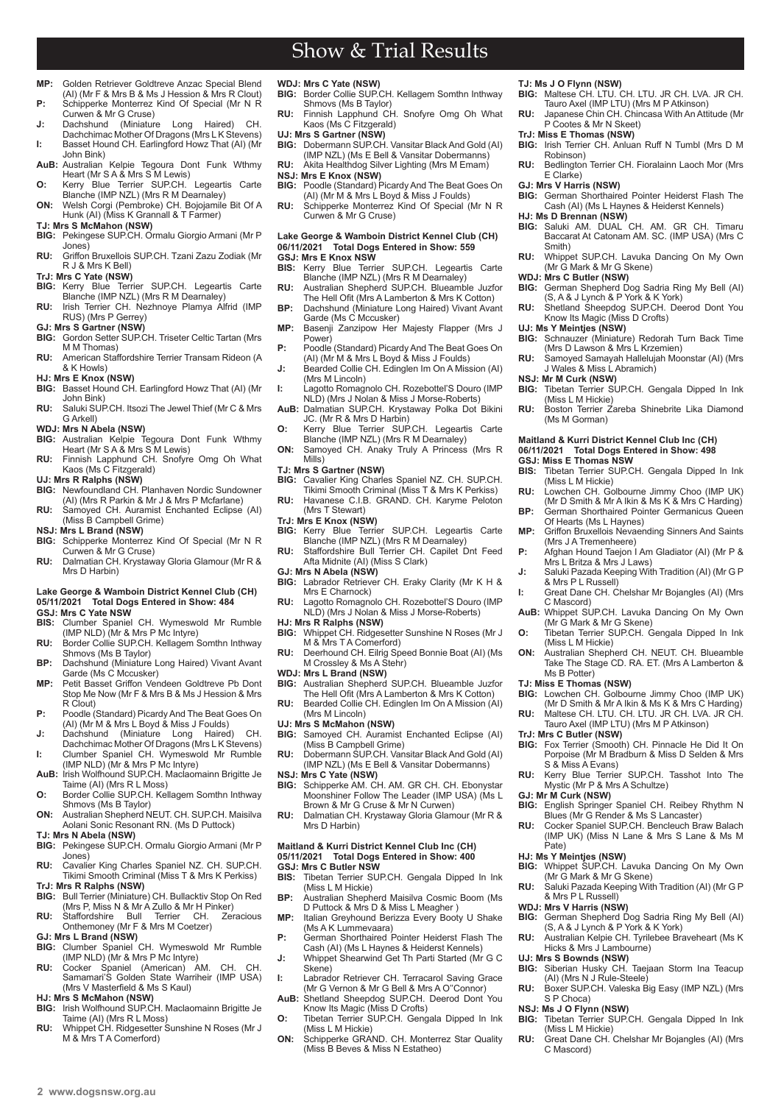$2$  www.dogsnsw.org.au **DOGS NSW Results received November 2021 3** 

# Show & Trial Results

- **MP:** Golden Retriever Goldtreve Anzac Special Blend (AI) (Mr F & Mrs B & Ms J Hession & Mrs R Clout) **P:** Schipperke Monterrez Kind Of Special (Mr N R
- Curwen & Mr G Cruse)
- **J:** Dachshund (Miniature Long Haired) CH. Dachchimac Mother Of Dragons (Mrs L K Stevens) **I:** Basset Hound CH. Earlingford Howz That (AI) (Mr John Bink)
- **AuB:** Australian Kelpie Tegoura Dont Funk Wthmy Heart (Mr S A & Mrs S M Lewis) **O:** Kerry Blue Terrier SUP.CH. Legeartis Carte
- Blanche (IMP NZL) (Mrs R M Dearnaley)
- **ON:** Welsh Corgi (Pembroke) CH. Bojojamile Bit Of A Hunk (AI) (Miss K Grannall & T Farmer) **TJ: Mrs S McMahon (NSW)**
- **BIG:** Pekingese SUP.CH. Ormalu Giorgio Armani (Mr P Jones)
- **RU:** Griffon Bruxellois SUP.CH. Tzani Zazu Zodiak (Mr R J & Mrs K Bell)
- 
- **TrJ: Mrs C Yate (NSW)**<br>**BIG:** Kerry Blue Terrier SUP.CH. Legeartis Carte<br>**BIG: Branche (IMP NZL) (Mrs R M Dearnaley)<br><b>RU: I**rish Terrier CH. Nezhnoye Plamya Alfrid (IMP
- RUS) (Mrs P Gerrey)
- **GJ: Mrs S Gartner (NSW)**
- **BIG:** Gordon Setter SUP.CH. Triseter Celtic Tartan (Mrs M M Thomas)
- **RU:** American Staffordshire Terrier Transam Rideon (A & K Howls)
- **HJ: Mrs E Knox (NSW)**
- **BIG:** Basset Hound CH. Earlingford Howz That (AI) (Mr John Bink)
- **RU:** Saluki SUP.CH. Itsozi The Jewel Thief (Mr C & Mrs G Arkell)
- 
- **WDJ: Mrs N Abela (NSW) BIG:** Australian Kelpie Tegoura Dont Funk Wthmy Heart (Mr S A & Mrs S M Lewis)
- **RU:** Finnish Lapphund CH. Snofyre Omg Oh What Kaos (Ms C Fitzgerald)
- 
- **UJ: Mrs R Ralphs (NSW) BIG:** Newfoundland CH. Planhaven Nordic Sundowner (AI) (Mrs R Parkin & Mr J & Mrs P Mcfarlane)
- **RU:** Samoyed CH. Auramist Enchanted Eclipse (AI) (Miss B Campbell Grime)
- **NSJ: Mrs L Brand (NSW)**
- **BIG:** Schipperke Monterrez Kind Of Special (Mr N R Curwen & Mr G Cruse)
- **RU:** Dalmatian CH. Krystaway Gloria Glamour (Mr R & Mrs D Harbin)

## **Lake George & Wamboin District Kennel Club (CH) 05/11/2021 Total Dogs Entered in Show: 484**

- **GSJ: Mrs C Yate NSW BIS:** Clumber Spaniel CH. Wymeswold Mr Rumble (IMP NLD) (Mr & Mrs P Mc Intyre)
- **RU:** Border Collie SUP.CH. Kellagem Somthn Inthway Shmovs (Ms B Taylor) **BP:** Dachshund (Miniature Long Haired) Vivant Avant
- Garde (Ms C Mccusker)
- **MP:** Petit Basset Griffon Vendeen Goldtreve Pb Dont Stop Me Now (Mr F & Mrs B & Ms J Hession & Mrs R Clout)
- **P:** Poodle (Standard) Picardy And The Beat Goes On
- (AI) (Mr M & Mrs L Boyd & Miss J Foulds) **J:** Dachshund (Miniature Long Haired) CH. Dachchimac Mother Of Dragons (Mrs L K Stevens) **I:** Clumber Spaniel CH. Wymeswold Mr Rumble
- (IMP NLD) (Mr & Mrs P Mc Intyre) **AuB:** Irish Wolfhound SUP.CH. Maclaomainn Brigitte Je
- Taime (AI) (Mrs R L Moss) **O:** Border Collie SUP.CH. Kellagem Somthn Inthway
- Shmovs (Ms B Taylor) **ON:** Australian Shepherd NEUT. CH. SUP.CH. Maisilva Aolani Sonic Resonant RN. (Ms D Puttock)
- **TJ: Mrs N Abela (NSW)**
- **BIG:** Pekingese SUP.CH. Ormalu Giorgio Armani (Mr P Jones)
- **RU:** Cavalier King Charles Spaniel NZ. CH. SUP.CH. Tikimi Smooth Criminal (Miss T & Mrs K Perkiss)
- **TrJ: Mrs R Ralphs (NSW) BIG:** Bull Terrier (Miniature) CH. Bullacktiv Stop On Red (Mrs P, Miss N & Mr A Zullo & Mr H Pinker) **RU:** Staffordshire Bull Terrier CH. Zeracious
- Onthemoney (Mr F & Mrs M Coetzer)
- 
- **GJ: Mrs L Brand (NSW) BIG:** Clumber Spaniel CH. Wymeswold Mr Rumble (IMP NLD) (Mr & Mrs P Mc Intyre)
- **RU:** Cocker Spaniel (American) AM. CH. CH. Samamari'S Golden State Warriheir (IMP USA) (Mrs V Masterfield & Ms S Kaul)
- **HJ: Mrs S McMahon (NSW)**
- **BIG:** Irish Wolfhound SUP.CH. Maclaomainn Brigitte Je Taime (AI) (Mrs R L Moss)
- **RU:** Whippet CH. Ridgesetter Sunshine N Roses (Mr J M & Mrs T A Comerford)
- **WDJ: Mrs C Yate (NSW)**
- **BIG:** Border Collie SUP.CH. Kellagem Somthn Inthway Shmovs (Ms B Taylor)
- **RU:** Finnish Lapphund CH. Snofyre Omg Oh What Kaos (Ms C Fitzgerald)
- **UJ: Mrs S Gartner (NSW) BIG:** Dobermann SUP.CH. Vansitar Black And Gold (AI) (IMP NZL) (Ms E Bell & Vansitar Dobermanns)
- **RU:** Akita Healthdog Silver Lighting (Mrs M Emam)
- 
- **NSJ: Mrs E Knox (NSW) BIG:** Poodle (Standard) Picardy And The Beat Goes On (AI) (Mr M & Mrs L Boyd & Miss J Foulds) **RU:** Schipperke Monterrez Kind Of Special (Mr N R
- Curwen & Mr G Cruse)

## **Lake George & Wamboin District Kennel Club (CH) 06/11/2021 Total Dogs Entered in Show: 559 GSJ: Mrs E Knox NSW**

- **BIS:** Kerry Blue Terrier SUP.CH. Legeartis Carte Blanche (IMP NZL) (Mrs R M Dearnaley) **RU:** Australian Shepherd SUP.CH. Blueamble Juzfor
- The Hell Ofit (Mrs A Lamberton & Mrs K Cotton) **BP:** Dachshund (Miniature Long Haired) Vivant Avant
- Garde (Ms C Mccusker) **MP:** Basenji Zanzipow Her Majesty Flapper (Mrs J
- Power)
- **P:** Poodle (Standard) Picardy And The Beat Goes On (AI) (Mr M & Mrs L Boyd & Miss J Foulds) **J:** Bearded Collie CH. Edinglen Im On A Mission (AI)
- (Mrs M Lincoln)
- **I:** Lagotto Romagnolo CH. Rozebottel'S Douro (IMP NLD) (Mrs J Nolan & Miss J Morse-Roberts) **AuB:** Dalmatian SUP.CH. Krystaway Polka Dot Bikini
- JC. (Mr R & Mrs D Harbin)
- **O:** Kerry Blue Terrier SUP.CH. Legeartis Carte Blanche (IMP NZL) (Mrs R M Dearnaley)
- **ON:** Samoyed CH. Anaky Truly A Princess (Mrs R Mills)
- **TJ: Mrs S Gartner (NSW)**
- **BIG:** Cavalier King Charles Spaniel NZ. CH. SUP.CH. Tikimi Smooth Criminal (Miss T & Mrs K Perkiss) **RU:** Havanese C.I.B. GRAND. CH. Karyme Peloton
	- (Mrs T Stewart) **RU:** Lowchen CH. Golbourne Jimmy Choo (IMP UK)<br>(Mr D Smith & Mr A Ikin & Ms K & Mrs C Harding) **BP:** German Shorthaired Pointer Germanicus Queen
- 
- **TrJ: Mrs E Knox (NSW) BIG:** Kerry Blue Terrier SUP.CH. Legeartis Carte Blanche (IMP NZL) (Mrs R M Dearnaley)
- **RU:** Staffordshire Bull Terrier CH. Capilet Dnt Feed Afta Midnite (AI) (Miss S Clark)
- **GJ: Mrs N Abela (NSW) BIG:** Labrador Retriever CH. Eraky Clarity (Mr K H & Mrs E Charnock)
- **RU:** Lagotto Romagnolo CH. Rozebottel'S Douro (IMP NLD) (Mrs J Nolan & Miss J Morse-Roberts)
- **HJ: Mrs R Ralphs (NSW)**<br>**BIG:** Whippet CH. Ridges
- **BIG:** Whippet CH. Ridgesetter Sunshine N Roses (Mr J M & Mrs T A Comerford)
- **RU:** Deerhound CH. Eilrig Speed Bonnie Boat (AI) (Ms M Crossley & Ms A Stehr)
- **WDJ: Mrs L Brand (NSW)**
- **BIG:** Australian Shepherd SUP.CH. Blueamble Juzfor The Hell Ofit (Mrs A Lamberton & Mrs K Cotton) **RU:** Bearded Collie CH. Edinglen Im On A Mission (AI)
- (Mrs M Lincoln)
- **UJ: Mrs S McMahon (NSW)**
- **BIG:** Samoyed CH. Auramist Enchanted Eclipse (AI) (Miss B Campbell Grime) **RU:** Dobermann SUP.CH. Vansitar Black And Gold (AI)
- (IMP NZL) (Ms E Bell & Vansitar Dobermanns)
- **NSJ: Mrs C Yate (NSW) BIG:** Schipperke AM. CH. AM. GR CH. CH. Ebonystar Moonshiner Follow The Leader (IMP USA) (Ms L Brown & Mr G Cruse & Mr N Curwen)
- **RU:** Dalmatian CH. Krystaway Gloria Glamour (Mr R & Mrs D Harbin)

### **Maitland & Kurri District Kennel Club Inc (CH) 05/11/2021 Total Dogs Entered in Show: 400 GSJ: Mrs C Butler NSW**

- **BIS:** Tibetan Terrier SUP.CH. Gengala Dipped In Ink (Miss L M Hickie)
- **BP:** Australian Shepherd Maisilva Cosmic Boom (Ms D Puttock & Mrs D & Miss L Meagher )
- **MP:** Italian Greyhound Berizza Every Booty U Shake (Ms A K Lummevaara)
- **P:** German Shorthaired Pointer Heiderst Flash The Cash (AI) (Ms L Haynes & Heiderst Kennels) **J:** Whippet Shearwind Get Th Parti Started (Mr G C
- Skene) **I:** Labrador Retriever CH. Terracarol Saving Grace
- (Mr G Vernon & Mr G Bell & Mrs A O''Connor) **AuB:** Shetland Sheepdog SUP.CH. Deerod Dont You Know Its Magic (Miss D Crofts)
- **O:** Tibetan Terrier SUP.CH. Gengala Dipped In Ink
- (Miss L M Hickie) **ON:** Schipperke GRAND. CH. Monterrez Star Quality (Miss B Beves & Miss N Estatheo)

Robinson)

E Clarke) **GJ: Mrs V Harris (NSW)**

Smith)

**HJ: Ms D Brennan (NSW)**

**WDJ: Mrs C Butler (NSW)**

**UJ: Ms Y Meintjes (NSW)**

**NSJ: Mr M Curk (NSW)**

(Ms M Gorman)

**GSJ: Miss E Thomas NSW**

(Miss L M Hickie)

Of Hearts (Ms L Haynes)

Mrs L Britza & Mrs J Laws)

(Mr G Mark & Mr G Skene)

(Mrs J A Tremenheere)

& Mrs P L Russell)

(Miss L M Hickie)

Ms B Potter) **TJ: Miss E Thomas (NSW)**

**TrJ: Mrs C Butler (NSW)**

**GJ: Mr M Curk (NSW)**

Pate)

S & Miss A Evans)

& Mrs P L Russell) **WDJ: Mrs V Harris (NSW)**

Hicks & Mrs J Lambourne)

(AI) (Mrs N J Rule-Steele)

**NSJ: Ms J O Flynn (NSW)**

C Mascord)

(Miss L M Hickie)

C Mascord)

**TJ: Ms J O Flynn (NSW) BIG:** Maltese CH. LTU. CH. LTU. JR CH. LVA. JR CH. Tauro Axel (IMP LTU) (Mrs M P Atkinson) **RU:** Japanese Chin CH. Chincasa With An Attitude (Mr

**RU:** Bedlington Terrier CH. Fioralainn Laoch Mor (Mrs

**BIG:** German Shorthaired Pointer Heiderst Flash The Cash (AI) (Ms L Haynes & Heiderst Kennels)

**BIG:** Saluki AM. DUAL CH. AM. GR CH. Timaru Baccarat At Catonam AM. SC. (IMP USA) (Mrs C

**RU:** Whippet SUP.CH. Lavuka Dancing On My Own

**BIG:** German Shepherd Dog Sadria Ring My Bell (AI)<br>(S, A & J Lynch & P York & K York) **RU:** Shetland Sheepdog SUP.CH. Deerod Dont You

**BIG:** Schnauzer (Miniature) Redorah Turn Back Time (Mrs D Lawson & Mrs L Krzemien) **RU:** Samoyed Samayah Hallelujah Moonstar (AI) (Mrs J Wales & Miss L Abramich)

**Maitland & Kurri District Kennel Club Inc (CH) 06/11/2021 Total Dogs Entered in Show: 498**

**BIS:** Tibetan Terrier SUP.CH. Gengala Dipped In Ink

**MP:** Griffon Bruxellois Nevaending Sinners And Saints

**P:** Afghan Hound Taejon I Am Gladiator (AI) (Mr P &

**J:** Saluki Pazada Keeping With Tradition (AI) (Mr G P

**I:** Great Dane CH. Chelshar Mr Bojangles (AI) (Mrs

**AuB:** Whippet SUP.CH. Lavuka Dancing On My Own

**O:** Tibetan Terrier SUP.CH. Gengala Dipped In Ink

**ON:** Australian Shepherd CH. NEUT. CH. Blueamble Take The Stage CD. RA. ET. (Mrs A Lamberton &

**BIG:** Lowchen CH. Golbourne Jimmy Choo (IMP UK) (Mr D Smith & Mr A Ikin & Ms K & Mrs C Harding) **RU:** Maltese CH. LTU. CH. LTU. JR CH. LVA. JR CH. Tauro Axel (IMP LTU) (Mrs M P Atkinson)

**BIG:** Fox Terrier (Smooth) CH. Pinnacle He Did It On Porpoise (Mr M Bradburn & Miss D Selden & Mrs

**RU:** Kerry Blue Terrier SUP.CH. Tasshot Into The Mystic (Mr P & Mrs A Schultze)

**BIG:** English Springer Spaniel CH. Reibey Rhythm N Blues (Mr G Render & Ms S Lancaster) **RU:** Cocker Spaniel SUP.CH. Bencleuch Braw Balach (IMP UK) (Miss N Lane & Mrs S Lane & Ms M

**HJ: Ms Y Meintjes (NSW)**<br>**BIG:** Whippet SUP.CH. Lavuka Dancing On My Own<br>(Mr G Mark & Mr G Skene) **RU:** Saluki Pazada Keeping With Tradition (AI) (Mr G P

**BIG:** German Shepherd Dog Sadria Ring My Bell (AI) (S, A & J Lynch & P York & K York) **RU:** Australian Kelpie CH. Tyrilebee Braveheart (Ms K

**UJ: Mrs S Bownds (NSW) BIG:** Siberian Husky CH. Taejaan Storm Ina Teacup

**RU:** Boxer SUP.CH. Valeska Big Easy (IMP NZL) (Mrs S P Choca)

**RU:** Great Dane CH. Chelshar Mr Bojangles (AI) (Mrs

**BIG:** Tibetan Terrier SUP.CH. Gengala Dipped In Ink

**BIG:** Tibetan Terrier SUP.CH. Gengala Dipped In Ink (Miss L M Hickie) **RU:** Boston Terrier Zareba Shinebrite Lika Diamond

- P Cootes & Mr N Skeet)
- **TrJ: Miss E Thomas (NSW) BIG:** Irish Terrier CH. Anluan Ruff N Tumbl (Mrs D M

(Mr G Mark & Mr G Skene)

Know Its Magic (Miss D Crofts)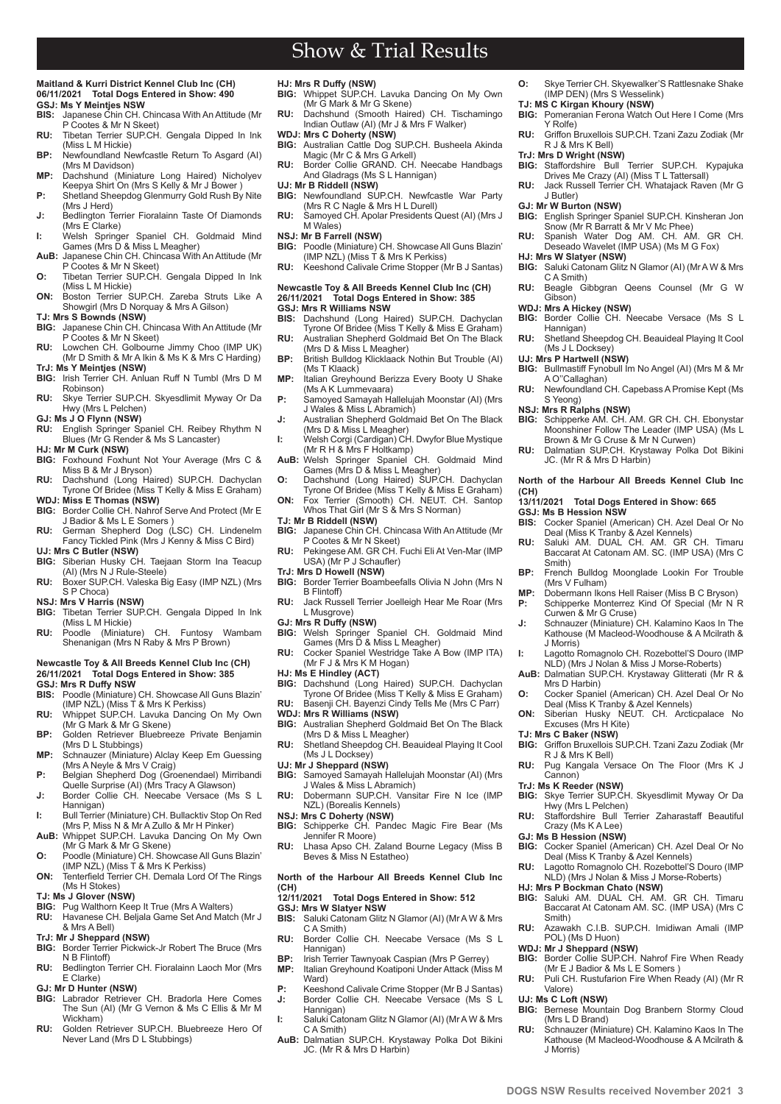## **Maitland & Kurri District Kennel Club Inc (CH) 06/11/2021 Total Dogs Entered in Show: 490**

- **GSJ: Ms Y Meintjes NSW BIS:** Japanese Chin CH. Chincasa With An Attitude (Mr P Cootes & Mr N Skeet)
- **RU:** Tibetan Terrier SUP.CH. Gengala Dipped In Ink (Miss L M Hickie)
- **BP:** Newfoundland Newfcastle Return To Asgard (AI) (Mrs M Davidson)
- **MP:** Dachshund (Miniature Long Haired) Nicholyev Keepya Shirt On (Mrs S Kelly & Mr J Bower ) **P:** Shetland Sheepdog Glenmurry Gold Rush By Nite
- (Mrs J Herd) **J:** Bedlington Terrier Fioralainn Taste Of Diamonds
- (Mrs E Clarke) **I:** Welsh Springer Spaniel CH. Goldmaid Mind Games (Mrs D & Miss L Meagher)
- **AuB:** Japanese Chin CH. Chincasa With An Attitude (Mr P Cootes & Mr N Skeet)
- **O:** Tibetan Terrier SUP.CH. Gengala Dipped In Ink
- (Miss L M Hickie) **ON:** Boston Terrier SUP.CH. Zareba Struts Like A Showgirl (Mrs D Norquay & Mrs A Gilson)
- **TJ: Mrs S Bownds (NSW)**
- **BIG:** Japanese Chin CH. Chincasa With An Attitude (Mr P Cootes & Mr N Skeet)
- **RU:** Lowchen CH. Golbourne Jimmy Choo (IMP UK) (Mr D Smith & Mr A Ikin & Ms K & Mrs C Harding) **TrJ: Ms Y Meintjes (NSW)**
- **BIG:** Irish Terrier CH. Anluan Ruff N Tumbl (Mrs D M Robinson)
- **RU:** Skye Terrier SUP.CH. Skyesdlimit Myway Or Da Hwy (Mrs L Pelchen)
- **GJ: Ms J O Flynn (NSW)**
- **RU:** English Springer Spaniel CH. Reibey Rhythm N Blues (Mr G Render & Ms S Lancaster)
- **HJ: Mr M Curk (NSW)** Foxhound Foxhunt Not Your Average (Mrs C & Miss B & Mr J Bryson)
- **RU:** Dachshund (Long Haired) SUP.CH. Dachyclan Tyrone Of Bridee (Miss T Kelly & Miss E Graham)
- **WDJ: Miss E Thomas (NSW) BIG:** Border Collie CH. Nahrof Serve And Protect (Mr E
- J Badior & Ms L E Somers ) **RU:** German Shepherd Dog (LSC) CH. Lindenelm Fancy Tickled Pink (Mrs J Kenny & Miss C Bird)
- **UJ: Mrs C Butler (NSW)**
- **BIG:** Siberian Husky CH. Taejaan Storm Ina Teacup (AI) (Mrs N J Rule-Steele)
- **RU:** Boxer SUP.CH. Valeska Big Easy (IMP NZL) (Mrs S P Choca)
- **NSJ: Mrs V Harris (NSW) BIG:** Tibetan Terrier SUP.CH. Gengala Dipped In Ink
- (Miss L M Hickie) **RU:** Poodle (Miniature) CH. Funtosy Wambam Shenanigan (Mrs N Raby & Mrs P Brown)

## **Newcastle Toy & All Breeds Kennel Club Inc (CH) 26/11/2021 Total Dogs Entered in Show: 385 GSJ: Mrs R Duffy NSW**

- **BIS:** Poodle (Miniature) CH. Showcase All Guns Blazin' (IMP NZL) (Miss T & Mrs K Perkiss)
- **RU:** Whippet SUP.CH. Lavuka Dancing On My Own (Mr G Mark & Mr G Skene)
- **BP:** Golden Retriever Bluebreeze Private Benjamin (Mrs D L Stubbings) **MP:** Schnauzer (Miniature) Alclay Keep Em Guessing
- (Mrs A Neyle & Mrs V Craig)
- **P:** Belgian Shepherd Dog (Groenendael) Mirribandi Quelle Surprise (AI) (Mrs Tracy A Glawson) **J:** Border Collie CH. Neecabe Versace (Ms S L
- Hannigan) **I:** Bull Terrier (Miniature) CH. Bullacktiv Stop On Red (Mrs P, Miss N & Mr A Zullo & Mr H Pinker)
- **AuB:** Whippet SUP.CH. Lavuka Dancing On My Own (Mr G Mark & Mr G Skene)
- **O:** Poodle (Miniature) CH. Showcase All Guns Blazin' (IMP NZL) (Miss T & Mrs K Perkiss)
- **ON:** Tenterfield Terrier CH. Demala Lord Of The Rings (Ms H Stokes)
- **TJ: Ms J Glover (NSW)**
- **BIG:** Pug Walthorn Keep It True (Mrs A Walters) **RU:** Havanese CH. Beljala Game Set And Match (Mr J
- & Mrs A Bell) **TrJ: Mr J Sheppard (NSW)**
- **BIG:** Border Terrier Pickwick-Jr Robert The Bruce (Mrs N B Flintoff)
- **RU:** Bedlington Terrier CH. Fioralainn Laoch Mor (Mrs E Clarke)
- **GJ: Mr D Hunter (NSW)**

**2 www.dogsnsw.org.au DOGS NSW Results received November 2021 3**

- **BIG:** Labrador Retriever CH. Bradorla Here Comes The Sun (AI) (Mr G Vernon & Ms C Ellis & Mr M Wickham)
- **RU:** Golden Retriever SUP.CH. Bluebreeze Hero Of Never Land (Mrs D L Stubbings)

- **HJ: Mrs R Duffy (NSW) BIG:** Whippet SUP.CH. Lavuka Dancing On My Own (Mr G Mark & Mr G Skene)
- **RU:** Dachshund (Smooth Haired) CH. Tischamingo Indian Outlaw (AI) (Mr J & Mrs F Walker)
- **WDJ: Mrs C Doherty (NSW)**<br>**BIG:** Australian Cattle Dog S **BIG:** Australian Cattle Dog SUP.CH. Busheela Akinda Magic (Mr C & Mrs G Arkell)
- **RU:** Border Collie GRAND. CH. Neecabe Handbags
- And Gladrags (Ms S L Hannigan) **UJ: Mr B Riddell (NSW)**
- **BIG:** Newfoundland SUP.CH. Newfcastle War Party (Mrs R C Nagle & Mrs H L Durell)
- **RU:** Samoyed CH. Apolar Presidents Quest (AI) (Mrs J M Wales)
- **NSJ: Mr B Farrell (NSW)**<br>**BIG:** Poodle (Miniature) (
- **BIG:** Poodle (Miniature) CH. Showcase All Guns Blazin' (IMP NZL) (Miss T & Mrs K Perkiss) **RU:** Keeshond Calivale Crime Stopper (Mr B J Santas)
- **Newcastle Toy & All Breeds Kennel Club Inc (CH) 26/11/2021 Total Dogs Entered in Show: 385**
- **GSJ: Mrs R Williams NSW**<br>**BIS:** Dachsbund (Long Ha
- **BIS:** Dachshund (Long Haired) SUP.CH. Dachyclan Tyrone Of Bridee (Miss T Kelly & Miss E Graham) **RU:** Australian Shepherd Goldmaid Bet On The Black
- (Mrs D & Miss L Meagher) **BP:** British Bulldog Klicklaack Nothin But Trouble (AI)
- (Ms T Klaack) **MP:** Italian Greyhound Berizza Every Booty U Shake
- (Ms A K Lummevaara)
- **P:** Samoyed Samayah Hallelujah Moonstar (AI) (Mrs J Wales & Miss L Abramich)
- **J:** Australian Shepherd Goldmaid Bet On The Black (Mrs D & Miss L Meagher)
- **I:** Welsh Corgi (Cardigan) CH. Dwyfor Blue Mystique (Mr R H & Mrs F Holtkamp) **AuB:** Welsh Springer Spaniel CH. Goldmaid Mind
- Games (Mrs D & Miss L Meagher)
- **O:** Dachshund (Long Haired) SUP.CH. Dachyclan Tyrone Of Bridee (Miss T Kelly & Miss E Graham)
- **ON:** Fox Terrier (Smooth) CH. NEUT. CH. Santop Whos That Girl (Mr S & Mrs S Norman)
- 
- **TJ: Mr B Riddell (NSW) BIG:** Japanese Chin CH. Chincasa With An Attitude (Mr P Cootes & Mr N Skeet)
- **RU:** Pekingese AM. GR CH. Fuchi Eli At Ven-Mar (IMP USA) (Mr P J Schaufler)
- **TrJ: Mrs D Howell (NSW)**
- **BIG:** Border Terrier Boambeefalls Olivia N John (Mrs N B Flintoff)
- **RU:** Jack Russell Terrier Joelleigh Hear Me Roar (Mrs L Musgrove)
- **GJ: Mrs R Duffy (NSW)**<br>**BIG:** Welsh Springer
- **BIG:** Welsh Springer Spaniel CH. Goldmaid Mind Games (Mrs D & Miss L Meagher)
- **RU:** Cocker Spaniel Westridge Take A Bow (IMP ITA) (Mr F J & Mrs K M Hogan)
- **HJ: Ms E Hindley (ACT)**
- **BIG:** Dachshund (Long Haired) SUP.CH. Dachyclan Tyrone Of Bridee (Miss T Kelly & Miss E Graham) **RU:** Basenji CH. Bayenzi Cindy Tells Me (Mrs C Parr)
- 
- **WDJ: Mrs R Williams (NSW) BIG:** Australian Shepherd Goldmaid Bet On The Black (Mrs D & Miss L Meagher)
- **RU:** Shetland Sheepdog CH. Beauideal Playing It Cool (Ms J L Docksey)
- **UJ: Mr J Sheppard (NSW)**<br>**BIG:** Samoved Samavah H
- **BIG:** Samoyed Samayah Hallelujah Moonstar (AI) (Mrs J Wales & Miss L Abramich) **RU:** Dobermann SUP.CH. Vansitar Fire N Ice (IMP
- NZL) (Borealis Kennels)
- **NSJ: Mrs C Doherty (NSW)**<br>**BIG:** Schipperke CH. Pand
- **BIG:** Schipperke CH. Pandec Magic Fire Bear (Ms Jennifer R Moore) **RU:** Lhasa Apso CH. Zaland Bourne Legacy (Miss B
- Beves & Miss N Estatheo)

**North of the Harbour All Breeds Kennel Club Inc (CH)** 

- **12** Total Dogs Entered in Show: 512
- **GSJ: Mrs W Slatyer NSW**
- **BIS:** Saluki Catonam Glitz N Glamor (AI) (Mr A W & Mrs C A Smith) **RU:** Border Collie CH. Neecabe Versace (Ms S L
- Hannigan)
- **BP:** Irish Terrier Tawnyoak Caspian (Mrs P Gerrey)<br>**MP:** Italian Greyhound Koatiponi Under Attack (Mis **MP:** Italian Greyhound Koatiponi Under Attack (Miss M Ward)
- **P:** Keeshond Calivale Crime Stopper (Mr B J Santas) **J:** Border Collie CH. Neecabe Versace (Ms S L
- Hannigan) **I:** Saluki Catonam Glitz N Glamor (AI) (Mr A W & Mrs C A Smith)
- **AuB:** Dalmatian SUP.CH. Krystaway Polka Dot Bikini JC. (Mr R & Mrs D Harbin)
- **O:** Skye Terrier CH. Skyewalker'S Rattlesnake Shake (IMP DEN) (Mrs S Wesselink)
- 

J Butler) **GJ: Mr W Burton (NSW)**

**HJ: Mrs W Slatyer (NSW)**

C A Smith)

Hannigan)

(Ms J L Docksey) **UJ: Mrs P Hartwell (NSW)**

A O''Callaghan)

**GSJ: Ms B Hession NSW**

(Mrs V Fulham)

Smith)

J Morris)

Mrs D Harbin)

R J & Mrs K Bell)

Hwy (Mrs L Pelchen)

Crazy (Ms K A Lee) **GJ: Ms B Hession (NSW)**

POL) (Ms D Huon)

(Mrs L D Brand)

Cannon) **TrJ: Ms K Reeder (NSW)**

Smith)

Valore) **UJ: Ms C Loft (NSW)**

J Morris)

JC. (Mr R & Mrs D Harbin)

S Yeong) **NSJ: Mrs R Ralphs (NSW)**

**(CH)** 

Gibson) **WDJ: Mrs A Hickey (NSW)**

- **TJ: MS C Kirgan Khoury (NSW) BIG:** Pomeranian Ferona Watch Out Here I Come (Mrs Y Rolfe) **RU:** Griffon Bruxellois SUP.CH. Tzani Zazu Zodiak (Mr
- R J & Mrs K Bell) **TrJ: Mrs D Wright (NSW) BIG:** Staffordshire Bull Terrier SUP.CH. Kypajuka

Drives Me Crazy (AI) (Miss T L Tattersall) **RU:** Jack Russell Terrier CH. Whatajack Raven (Mr G

**BIG:** English Springer Spaniel SUP.CH. Kinsheran Jon Snow (Mr R Barratt & Mr V Mc Phee) **RU:** Spanish Water Dog AM. CH. AM. GR CH. Deseado Wavelet (IMP USA) (Ms M G Fox)

**BIG:** Saluki Catonam Glitz N Glamor (AI) (Mr A W & Mrs

**RU:** Beagle Gibbgran Qeens Counsel (Mr G W

**BIG:** Border Collie CH. Neecabe Versace (Ms S L

**RU:** Shetland Sheepdog CH. Beauideal Playing It Cool

**BIG:** Bullmastiff Fynobull Im No Angel (AI) (Mrs M & Mr

**RU:** Newfoundland CH. Capebass A Promise Kept (Ms

**BIG:** Schipperke AM. CH. AM. GR CH. CH. Ebonystar Moonshiner Follow The Leader (IMP USA) (Ms L Brown & Mr G Cruse & Mr N Curwen) **RU:** Dalmatian SUP.CH. Krystaway Polka Dot Bikini

**North of the Harbour All Breeds Kennel Club Inc** 

**BP:** French Bulldog Moonglade Lookin For Trouble

**MP:** Dobermann Ikons Hell Raiser (Miss B C Bryson) Schipperke Monterrez Kind Of Special (Mr N R Curwen & Mr G Cruse) **J:** Schnauzer (Miniature) CH. Kalamino Kaos In The Kathouse (M Macleod-Woodhouse & A Mcilrath &

**I:** Lagotto Romagnolo CH. Rozebottel'S Douro (IMP NLD) (Mrs J Nolan & Miss J Morse-Roberts) **AuB:** Dalmatian SUP.CH. Krystaway Glitterati (Mr R &

**O:** Cocker Spaniel (American) CH. Azel Deal Or No Deal (Miss K Tranby & Azel Kennels) **ON:** Siberian Husky NEUT. CH. Arcticpalace No Excuses (Mrs H Kite) **TJ: Mrs C Baker (NSW) BIG:** Griffon Bruxellois SUP.CH. Tzani Zazu Zodiak (Mr

RU: Pug Kangala Versace On The Floor (Mrs K J

**RU:** Staffordshire Bull Terrier Zaharastaff Beautiful

**RU:** Azawakh C.I.B. SUP.CH. Imidiwan Amali (IMP

**WDJ: Mr J Sheppard (NSW) BIG:** Border Collie SUP.CH. Nahrof Fire When Ready (Mr E J Badior & Ms L E Somers ) **RU:** Puli CH. Rustufarion Fire When Ready (AI) (Mr R

**BIG:** Bernese Mountain Dog Branbern Stormy Cloud

**RU:** Schnauzer (Miniature) CH. Kalamino Kaos In The Kathouse (M Macleod-Woodhouse & A Mcilrath &

Deal (Miss K Tranby & Azel Kennels) **RU:** Lagotto Romagnolo CH. Rozebottel'S Douro (IMP NLD) (Mrs J Nolan & Miss J Morse-Roberts) **HJ: Mrs P Bockman Chato (NSW) BIG:** Saluki AM. DUAL CH. AM. GR CH. Timaru Baccarat At Catonam AM. SC. (IMP USA) (Mrs C

**BIG:** Skye Terrier SUP.CH. Skyesdlimit Myway Or Da

**BIG:** Cocker Spaniel (American) CH. Azel Deal Or No

**BIS:** Cocker Spaniel (American) CH. Azel Deal Or No Deal (Miss K Tranby & Azel Kennels) **RU:** Saluki AM. DUAL CH. AM. GR CH. Timaru Baccarat At Catonam AM. SC. (IMP USA) (Mrs C

**13/11/2021 Total Dogs Entered in Show: 665**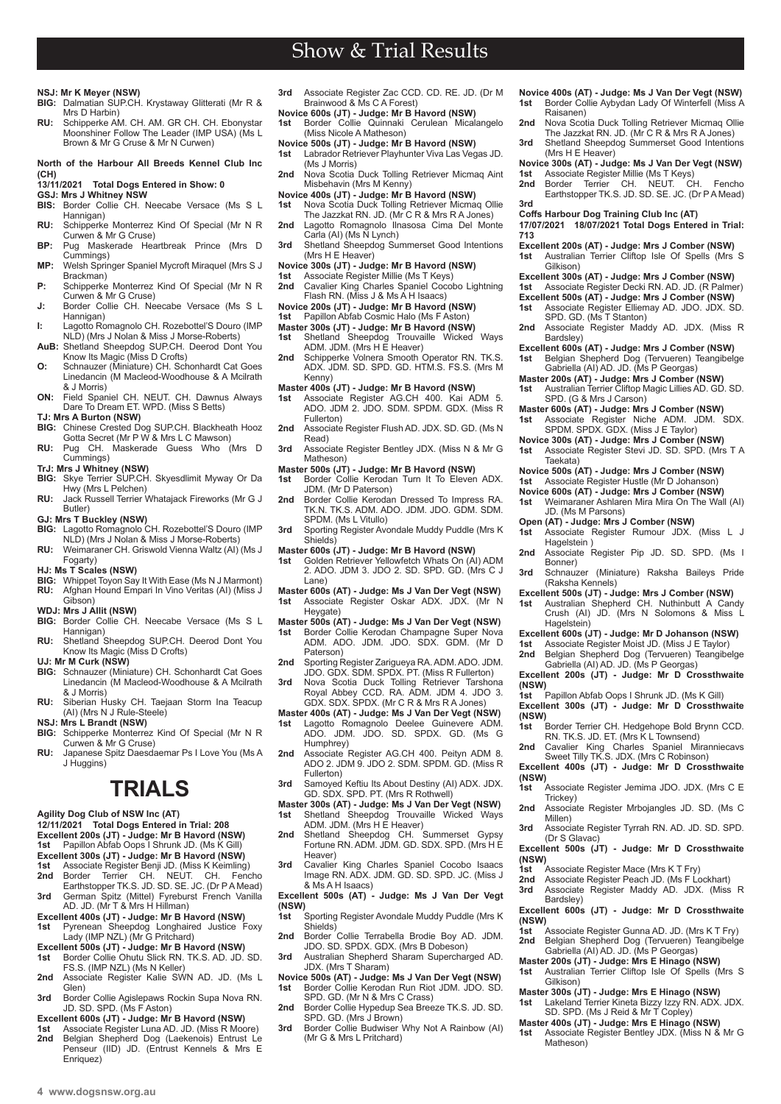# **NSJ: Mr K Meyer (NSW)**

**BIG:** Dalmatian SUP.CH. Krystaway Glitterati (Mr R & Mrs D Harbin) **RU:** Schipperke AM. CH. AM. GR CH. CH. Ebonystar Moonshiner Follow The Leader (IMP USA) (Ms L Brown & Mr G Cruse & Mr N Curwen)

## **North of the Harbour All Breeds Kennel Club Inc (CH)**

- **13/11/2021 Total Dogs Entered in Show: 0**
- 
- **GSJ: Mrs J Whitney NSW** Border Collie CH. Neecabe Versace (Ms S L Hannigan)
- **RU:** Schipperke Monterrez Kind Of Special (Mr N R Curwen & Mr G Cruse)
- **BP:** Pug Maskerade Heartbreak Prince (Mrs D Cummings)
- **MP:** Welsh Springer Spaniel Mycroft Miraquel (Mrs S J Brackman)
- **P:** Schipperke Monterrez Kind Of Special (Mr N R Curwen & Mr G Cruse)
- **J:** Border Collie CH. Neecabe Versace (Ms S L Hannigan)
- **I:** Lagotto Romagnolo CH. Rozebottel'S Douro (IMP NLD) (Mrs J Nolan & Miss J Morse-Roberts)
- **AuB:** Shetland Sheepdog SUP.CH. Deerod Dont You Know Its Magic (Miss D Crofts) **O:** Schnauzer (Miniature) CH. Schonhardt Cat Goes Linedancin (M Macleod-Woodhouse & A Mcilrath & J Morris)
- **ON:** Field Spaniel CH. NEUT. CH. Dawnus Always Dare To Dream ET. WPD. (Miss S Betts)
- **TJ: Mrs A Burton (NSW)**
- **BIG:** Chinese Crested Dog SUP.CH. Blackheath Hooz Gotta Secret (Mr P W & Mrs L C Mawson)
- **RU:** Pug CH. Maskerade Guess Who (Mrs D Cummings)
- 
- **TrJ: Mrs J Whitney (NSW) BIG:** Skye Terrier SUP.CH. Skyesdlimit Myway Or Da Hwy (Mrs L Pelchen)
- **RU:** Jack Russell Terrier Whatajack Fireworks (Mr G J Butler)

- **GJ: Mrs T Buckley (NSW) BIG:** Lagotto Romagnolo CH. Rozebottel'S Douro (IMP NLD) (Mrs J Nolan & Miss J Morse-Roberts)
- **RU:** Weimaraner CH. Griswold Vienna Waltz (AI) (Ms J Fogarty)
- **HJ: Ms T Scales (NSW)**
- **BIG:** Whippet Toyon Say It With Ease (Ms N J Marmont)<br>**RU:** Afghan Hound Empari In Vino Veritas (AI) (Miss J Afghan Hound Empari In Vino Veritas (AI) (Miss J Gibson)
- **WDJ: Mrs J Allit (NSW)**
- **BIG:** Border Collie CH. Neecabe Versace (Ms S L
- Hannigan) **RU:** Shetland Sheepdog SUP.CH. Deerod Dont You Know Its Magic (Miss D Crofts)
- **UJ: Mr M Curk (NSW)**
- **BIG:** Schnauzer (Miniature) CH. Schonhardt Cat Goes Linedancin (M Macleod-Woodhouse & A Mcilrath & J Morris)
- **RU:** Siberian Husky CH. Taejaan Storm Ina Teacup (AI) (Mrs N J Rule-Steele)
- 
- **NSJ: Mrs L Brandt (NSW) BIG:** Schipperke Monterrez Kind Of Special (Mr N R Curwen & Mr G Cruse)
- **RU:** Japanese Spitz Daesdaemar Ps I Love You (Ms A J Huggins)

# **TRIALS**

- **Agility Dog Club of NSW Inc (AT)**
- **12/11/2021 Total Dogs Entered in Trial: 208**
- **Excellent 200s (JT) Judge: Mr B Havord (NSW)**
- **1st** Papillon Abfab Oops I Shrunk JD. (Ms K Gill)
- 
- **Excellent 300s (JT) Judge: Mr B Havord (NSW)<br><b>1st** Associate Register Benji JD. (Miss K Keimling)<br>**2nd** Border Terrier CH. NEUT. CH. Fencho<br>Earthstopper TK.S. JD. SD. SE. JC. (Dr P A Mead)
- **3rd** German Spitz (Mittel) Fyreburst French Vanilla AD. JD. (Mr T & Mrs H Hillman)
- 
- **Excellent 400s (JT) Judge: Mr B Havord (NSW) 1st** Pyrenean Sheepdog Longhaired Justice Foxy Lady (IMP NZL) (Mr G Pritchard)
- **Excellent 500s (JT) Judge: Mr B Havord (NSW) 1st** Border Collie Ohutu Slick RN. TK.S. AD. JD. SD. FS.S. (IMP NZL) (Ms N Keller)
- **2nd** Associate Register Kalie SWN AD. JD. (Ms L Glen)
- **3rd** Border Collie Agislepaws Rockin Supa Nova RN. JD. SD. SPD. (Ms F Aston)
- **Excellent 600s (JT) Judge: Mr B Havord (NSW)**
- **1st** Associate Register Luna AD. JD. (Miss R Moore) **2nd** Belgian Shepherd Dog (Laekenois) Entrust Le Penseur (IID) JD. (Entrust Kennels & Mrs E Enriquez)
- **3rd** Associate Register Zac CCD. CD. RE. JD. (Dr M Brainwood & Ms C A Forest)
- **Novice 600s (JT) Judge: Mr B Havord (NSW) 1st** Border Collie Quinnaki Cerulean Micalangelo (Miss Nicole A Matheson)
- **Novice 500s (JT) Judge: Mr B Havord (NSW)**<br>**1st** Labrador Retriever Playhunter Viva Las Vec
- **1st** Labrador Retriever Playhunter Viva Las Vegas JD. (Ms J Morris)
- **2nd** Nova Scotia Duck Tolling Retriever Micmaq Aint Misbehavin (Mrs M Kenny)
- **Novice 400s (JT) Judge: Mr B Havord (NSW)**
- **1st** Nova Scotia Duck Tolling Retriever Micmaq Ollie The Jazzkat RN. JD. (Mr C R & Mrs R A Jones) **2nd** Lagotto Romagnolo Ilnasosa Cima Del Monte
- Carla (AI) (Ms N Lynch)
- **3rd** Shetland Sheepdog Summerset Good Intentions (Mrs H E Heaver)
- **Novice 300s (JT) Judge: Mr B Havord (NSW)**
- 1st Associate Register Millie (Ms T Keys)<br>2nd Cavalier King Charles Spaniel Coco **2nd** Cavalier King Charles Spaniel Cocobo Lightning Flash RN. (Miss J & Ms A H Isaacs)
- 
- **Novice 200s (JT) Judge: Mr B Havord (NSW) 1st** Papillon Abfab Cosmic Halo (Ms F Aston)
- **Master 300s (JT) Judge: Mr B Havord (NSW) 1st** Shetland Sheepdog Trouvaille Wicked Ways
- 
- ADM. JDM. (Mrs H E Heaver) **2nd** Schipperke Volnera Smooth Operator RN. TK.S. ADX. JDM. SD. SPD. GD. HTM.S. FS.S. (Mrs M
- Kenny)
- **Master 400s (JT) Judge: Mr B Havord (NSW) 1st** Associate Register AG.CH 400. Kai ADM 5. ADO. JDM 2. JDO. SDM. SPDM. GDX. (Miss R Fullerton)
- **2nd** Associate Register Flush AD. JDX. SD. GD. (Ms N Read)
- **3rd** Associate Register Bentley JDX. (Miss N & Mr G Matheson)
- **Master 500s (JT) Judge: Mr B Havord (NSW) 1st** Border Collie Kerodan Turn It To Eleven ADX.
- JDM. (Mr D Paterson)
- 2nd Border Collie Kerodan Dressed To Impress RA TK.N. TK.S. ADM. ADO. JDM. JDO. GDM. SDM. SPDM. (Ms L Vitullo)
- **3rd** Sporting Register Avondale Muddy Puddle (Mrs K Shields)
- 
- **Master 600s (JT) Judge: Mr B Havord (NSW) 1st** Golden Retriever Yellowfetch Whats On (AI) ADM 2. ADO. JDM 3. JDO 2. SD. SPD. GD. (Mrs C J Lane)
- **Master 600s (AT) Judge: Ms J Van Der Vegt (NSW) 1st** Associate Register Oskar ADX. JDX. (Mr N Heygate)
- **Master 500s (AT) Judge: Ms J Van Der Vegt (NSW)**
- Border Collie Kerodan Champagne Super Nova ADM. ADO. JDM. JDO. SDX. GDM. (Mr D Paterson)
- 2nd Sporting Register Zarigueya RA. ADM. ADO. JDM. JDO. GDX. SDM. SPDX. PT. (Miss R Fullerton)
- **3rd** Nova Scotia Duck Tolling Retriever Tarshona Royal Abbey CCD. RA. ADM. JDM 4. JDO 3. GDX. SDX. SPDX. (Mr C R & Mrs R A Jones)
- **Master 400s (AT) Judge: Ms J Van Der Vegt (NSW)**
- **1st** Lagotto Romagnolo Deelee Guinevere ADM. ADO. JDM. JDO. SD. SPDX. GD. (Ms G Humphrey)
- 2nd Associate Register AG.CH 400. Peityn ADM 8. ADO 2. JDM 9. JDO 2. SDM. SPDM. GD. (Miss R Fullerton)
- **3rd** Samoyed Keftiu Its About Destiny (AI) ADX. JDX. GD. SDX. SPD. PT. (Mrs R Rothwell)
- **Master 300s (AT) Judge: Ms J Van Der Vegt (NSW) 1st** Shetland Sheepdog Trouvaille Wicked Ways ADM. JDM. (Mrs H E Heaver)
- 2nd Shetland Sheepdog CH. Summerset Gypsy Fortune RN. ADM. JDM. GD. SDX. SPD. (Mrs H E Heaver)
- **3rd** Cavalier King Charles Spaniel Cocobo Isaacs Image RN. ADX. JDM. GD. SD. SPD. JC. (Miss J & Ms A H Isaacs)
- **Excellent 500s (AT) Judge: Ms J Van Der Vegt (NSW)**
- **1st** Sporting Register Avondale Muddy Puddle (Mrs K Shields) **2nd** Border Collie Terrabella Brodie Boy AD. JDM.
- JDO. SD. SPDX. GDX. (Mrs B Dobeson) **3rd** Australian Shepherd Sharam Supercharged AD.
- JDX. (Mrs T Sharam) **Novice 500s (AT) - Judge: Ms J Van Der Vegt (NSW) 1st** Border Collie Kerodan Run Riot JDM. JDO. SD.
- SPD. GD. (Mr N & Mrs C Crass) 2nd Border Collie Hypedup Sea Breeze TK.S. JD. SD.
- SPD. GD. (Mrs J Brown) **3rd** Border Collie Budwiser Why Not A Rainbow (AI)
- (Mr G & Mrs L Pritchard)
- **Novice 400s (AT) Judge: Ms J Van Der Vegt (NSW) 1st** Border Collie Aybydan Lady Of Winterfell (Miss A Raisanen)
- **2nd** Nova Scotia Duck Tolling Retriever Micmaq Ollie The Jazzkat RN. JD. (Mr C R & Mrs R A Jones)
- 3rd Shetland Sheepdog Summerset Good Intentions (Mrs H E Heaver)
- **Novice 300s (AT) Judge: Ms J Van Der Vegt (NSW) 1st** Associate Register Millie (Ms T Keys) **2nd** Border Terrier CH. NEUT. CH. Fencho
- Earthstopper TK.S. JD. SD. SE. JC. (Dr P A Mead) **3rd**

**Excellent 200s (AT) - Judge: Mrs J Comber (NSW) 1st** Australian Terrier Cliftop Isle Of Spells (Mrs S Gilkison) **Excellent 300s (AT) - Judge: Mrs J Comber (NSW) 1st** Associate Register Decki RN. AD. JD. (R Palmer) **Excellent 500s (AT) - Judge: Mrs J Comber (NSW) 1st** Associate Register Elliemay AD. JDO. JDX. SD. SPD. GD. (Ms T Stanton) 2nd Associate Register Maddy AD. JDX. (Miss R

**Excellent 600s (AT) - Judge: Mrs J Comber (NSW) 1st** Belgian Shepherd Dog (Tervueren) Teangibelge Gabriella (AI) AD. JD. (Ms P Georgas) **Master 200s (AT) - Judge: Mrs J Comber (NSW) 1st** Australian Terrier Cliftop Magic Lillies AD. GD. SD. SPD. (G & Mrs J Carson) **Master 600s (AT) - Judge: Mrs J Comber (NSW) 1st** Associate Register Niche ADM. JDM. SDX. SPDM. SPDX. GDX. (Miss J E Taylor) **Novice 300s (AT) - Judge: Mrs J Comber (NSW) 1st** Associate Register Stevi JD. SD. SPD. (Mrs T A

**Novice 500s (AT) - Judge: Mrs J Comber (NSW) 1st** Associate Register Hustle (Mr D Johanson) **Novice 600s (AT) - Judge: Mrs J Comber (NSW) 1st** Weimaraner Ashlaren Mira Mira On The Wall (AI)

**1st** Associate Register Rumour JDX. (Miss L J

2nd Associate Register Pip JD. SD. SPD. (Ms I

**3rd** Schnauzer (Miniature) Raksha Baileys Pride

**Excellent 500s (JT) - Judge: Mrs J Comber (NSW) 1st** Australian Shepherd CH. Nuthinbutt A Candy Crush (AI) JD. (Mrs N Solomons & Miss L

**Excellent 600s (JT) - Judge: Mr D Johanson (NSW) 1st** Associate Register Moist JD. (Miss J E Taylor) **2nd** Belgian Shepherd Dog (Tervueren) Teangibelge Gabriella (AI) AD. JD. (Ms P Georgas) **Excellent 200s (JT) - Judge: Mr D Crossthwaite** 

**1st** Papillon Abfab Oops I Shrunk JD. (Ms K Gill) **Excellent 300s (JT) - Judge: Mr D Crossthwaite (NSW) 1st** Border Terrier CH. Hedgehope Bold Brynn CCD. RN. TK.S. JD. ET. (Mrs K L Townsend) **2nd** Cavalier King Charles Spaniel Miranniecavs Sweet Tilly TK.S. JDX. (Mrs C Robinson) **Excellent 400s (JT) - Judge: Mr D Crossthwaite** 

**1st** Associate Register Jemima JDO. JDX. (Mrs C E

**2nd** Associate Register Mrbojangles JD. SD. (Ms C

**3rd** Associate Register Tyrrah RN. AD. JD. SD. SPD.

**Excellent 500s (JT) - Judge: Mr D Crossthwaite** 

**Excellent 600s (JT) - Judge: Mr D Crossthwaite** 

**Master 300s (JT) - Judge: Mrs E Hinago (NSW) 1st** Lakeland Terrier Kineta Bizzy Izzy RN. ADX. JDX. SD. SPD. (Ms J Reid & Mr T Copley) **Master 400s (JT) - Judge: Mrs E Hinago (NSW) 1st** Associate Register Bentley JDX. (Miss N & Mr G

**1st** Associate Register Gunna AD. JD. (Mrs K T Fry) **2nd** Belgian Shepherd Dog (Tervueren) Teangibelge Gabriella (AI) AD. JD. (Ms P Georgas) **Master 200s (JT) - Judge: Mrs E Hinago (NSW) 1st** Australian Terrier Cliftop Isle Of Spells (Mrs S

**1st** Associate Register Mace (Mrs K T Fry)<br>**2nd** Associate Register Peach JD. (Ms F Le **2nd** Associate Register Peach JD. (Ms F Lockhart)<br>**3rd** Associate Register Maddy AD JDX (Miss **3rd** Associate Register Maddy AD. JDX. (Miss R

**Coffs Harbour Dog Training Club Inc (AT) 17/07/2021 18/07/2021 Total Dogs Entered in Trial:** 

**713**

Bardsley)

Taekata)

Hagelstein )

Bonner)

Hagelstein<sup>)</sup>

**(NSW)**

**(NSW)**

**(NSW)**

**(NSW)**

Trickey)

Millen)

(Dr S Glavac)

Bardsley)

Gilkison)

Matheson)

JD. (Ms M Parsons)

(Raksha Kennels)

**Open (AT) - Judge: Mrs J Comber (NSW)**<br>1st Associate Register Rumour JDX.

 $4$  www.dogsnsw.org.au **DOGS NSW Results received November 2021 5**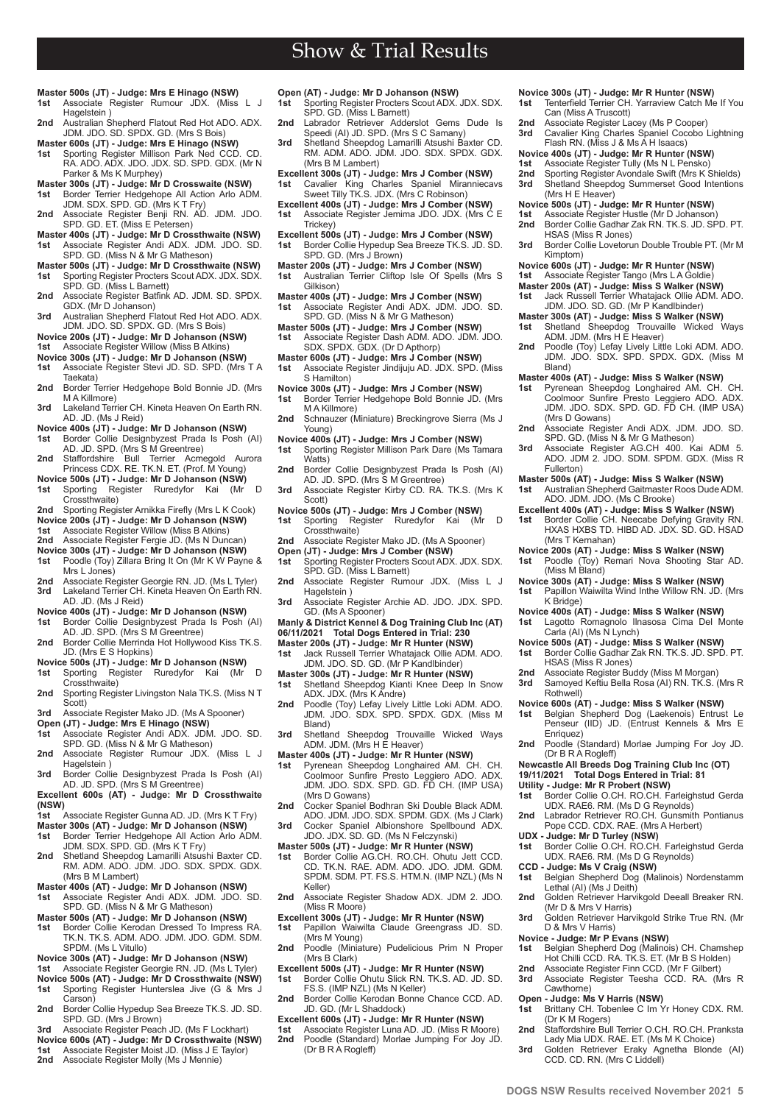- **Master 500s (JT) Judge: Mrs E Hinago (NSW) 1st** Associate Register Rumour JDX. (Miss L J
- Hagelstein 1
- **2nd** Australian Shepherd Flatout Red Hot ADO. ADX. JDM. JDO. SD. SPDX. GD. (Mrs S Bois)
- **Master 600s (JT) Judge: Mrs E Hinago (NSW)**
- **1st** Sporting Register Millison Park Ned CCD. CD. RA. ADO. ADX. JDO. JDX. SD. SPD. GDX. (Mr N Parker & Ms K Murphey)
- **Master 300s (JT) Judge: Mr D Crosswaite (NSW) 1st** Border Terrier Hedgehope All Action Arlo ADM.
- JDM. SDX. SPD. GD. (Mrs K T Fry) **2nd** Associate Register Benji RN. AD. JDM. JDO. SPD. GD. ET. (Miss E Petersen)
- **Master 400s (JT) Judge: Mr D Crossthwaite (NSW) 1st** Associate Register Andi ADX. JDM. JDO. SD. SPD. GD. (Miss N & Mr G Matheson)
- **Master 500s (JT) Judge: Mr D Crossthwaite (NSW) 1st** Sporting Register Procters Scout ADX. JDX. SDX.
- SPD. GD. (Miss L Barnett) **2nd** Associate Register Batfink AD. JDM. SD. SPDX.
- GDX. (Mr D Johanson) **3rd** Australian Shepherd Flatout Red Hot ADO. ADX.
- JDM. JDO. SD. SPDX. GD. (Mrs S Bois)
- **Novice 200s (JT) Judge: Mr D Johanson (NSW) 1st** Associate Register Willow (Miss B Atkins)
- 
- **Novice 300s (JT) Judge: Mr D Johanson (NSW) 1st** Associate Register Stevi JD. SD. SPD. (Mrs T A Taekata)
- **2nd** Border Terrier Hedgehope Bold Bonnie JD. (Mrs M A Killmore)
- **3rd** Lakeland Terrier CH. Kineta Heaven On Earth RN. AD. JD. (Ms J Reid)
- 
- **Novice 400s (JT) Judge: Mr D Johanson (NSW) 1st** Border Collie Designbyzest Prada Is Posh (AI) AD. JD. SPD. (Mrs S M Greentree)
- **2nd** Staffordshire Bull Terrier Acmegold Aurora Princess CDX. RE. TK.N. ET. (Prof. M Young)
- **Novice 500s (JT) Judge: Mr D Johanson (NSW) 1st** Sporting Register Ruredyfor Kai (Mr D Crossthwaite)
- **2nd** Sporting Register Arnikka Firefly (Mrs L K Cook)
- **Novice 200s (JT) Judge: Mr D Johanson (NSW) 1st** Associate Register Willow (Miss B Atkins)
- 2nd Associate Register Fergie JD. (Ms N Duncan)
- **Novice 300s (JT) Judge: Mr D Johanson (NSW)**
- **1st** Poodle (Toy) Zillara Bring It On (Mr K W Payne & Mrs L Jones)
- **2nd** Associate Register Georgie RN. JD. (Ms L Tyler) Lakeland Terrier CH. Kineta Heaven On Earth RN. AD. JD. (Ms J Reid)
- 
- **Novice 400s (JT) Judge: Mr D Johanson (NSW) 1st** Border Collie Designbyzest Prada Is Posh (AI) AD. JD. SPD. (Mrs S M Greentree)
- **2nd** Border Collie Merrinda Hot Hollywood Kiss TK.S. JD. (Mrs E S Hopkins)
- **Novice 500s (JT) Judge: Mr D Johanson (NSW) 1st** Sporting Register Ruredyfor Kai (Mr D Crossthwaite)
- **2nd** Sporting Register Livingston Nala TK.S. (Miss N T
- Scott) **3rd** Associate Register Mako JD. (Ms A Spooner)
- 
- **Open (JT) Judge: Mrs E Hinago (NSW) 1st** Associate Register Andi ADX. JDM. JDO. SD. SPD. GD. (Miss N & Mr G Matheson)
- **2nd** Associate Register Rumour JDX. (Miss L J Hagelstein )
- **3rd** Border Collie Designbyzest Prada Is Posh (AI) AD. JD. SPD. (Mrs S M Greentree)
- **Excellent 600s (AT) Judge: Mr D Crossthwaite (NSW)**
- **1st** Associate Register Gunna AD. JD. (Mrs K T Fry)
- **Master 300s (AT) Judge: Mr D Johanson (NSW) 1st** Border Terrier Hedgehope All Action Arlo ADM.
- JDM. SDX. SPD. GD. (Mrs K T Fry) 2nd Shetland Sheepdog Lamarilli Atsushi Baxter CD. RM. ADM. ADO. JDM. JDO. SDX. SPDX. GDX. (Mrs B M Lambert)
- **Master 400s (AT) Judge: Mr D Johanson (NSW)**
- **1st** Associate Register Andi ADX. JDM. JDO. SD. SPD. GD. (Miss N & Mr G Matheson)
- **Master 500s (AT) Judge: Mr D Johanson (NSW) 1st** Border Collie Kerodan Dressed To Impress RA. TK.N. TK.S. ADM. ADO. JDM. JDO. GDM. SDM.
- SPDM. (Ms L Vitullo)
- **Novice 300s (AT) Judge: Mr D Johanson (NSW) 1st** Associate Register Georgie RN. JD. (Ms L Tyler)
- 
- **Novice 500s (AT) Judge: Mr D Crossthwaite (NSW)** Sporting Register Hunterslea Jive (G & Mrs J Carson)
- **2nd** Border Collie Hypedup Sea Breeze TK.S. JD. SD. SPD. GD. (Mrs J Brown)
- **3rd** Associate Register Peach JD. (Ms F Lockhart)
- **Novice 600s (AT) Judge: Mr D Crossthwaite (NSW) 1st** Associate Register Moist JD. (Miss J E Taylor)
- 2nd Associate Register Molly (Ms J Mennie)
- **Open (AT) Judge: Mr D Johanson (NSW)**<br>**1st** Sporting Register Procters Scout ADX.
- Sporting Register Procters Scout ADX. JDX. SDX.
- SPD. GD. (Miss L Barnett) **2nd** Labrador Retriever Adderslot Gems Dude Is Speedi (AI) JD. SPD. (Mrs S C Samany)

- Shetland Sheepdog Lamarilli Atsushi Baxter CD. RM. ADM. ADO. JDM. JDO. SDX. SPDX. GDX. (Mrs B M Lambert)
- **Excellent 300s (JT) Judge: Mrs J Comber (NSW) 1st** Cavalier King Charles Spaniel Miranniecavs Sweet Tilly TK.S. JDX. (Mrs C Robinson)
- **Excellent 400s (JT) Judge: Mrs J Comber (NSW)**
- **1st** Associate Register Jemima JDO. JDX. (Mrs C E Trickey)
- **Excellent 500s (JT) Judge: Mrs J Comber (NSW) 1st** Border Collie Hypedup Sea Breeze TK.S. JD. SD. SPD. GD. (Mrs J Brown)
- **Master 200s (JT) Judge: Mrs J Comber (NSW) 1st** Australian Terrier Cliftop Isle Of Spells (Mrs S
- Gilkison)
- **Master 400s (JT) Judge: Mrs J Comber (NSW) 1st** Associate Register Andi ADX. JDM. JDO. SD. SPD. GD. (Miss N & Mr G Matheson)
- **Master 500s (JT) Judge: Mrs J Comber (NSW) 1st** Associate Register Dash ADM. ADO. JDM. JDO.
- SDX. SPDX. GDX. (Dr D Apthorp)
- **Master 600s (JT) Judge: Mrs J Comber (NSW) 1st** Associate Register Jindijuju AD. JDX. SPD. (Miss S Hamilton)
- **Novice 300s (JT) Judge: Mrs J Comber (NSW) 1st** Border Terrier Hedgehope Bold Bonnie JD. (Mrs M A Killmore)
- **2nd** Schnauzer (Miniature) Breckingrove Sierra (Ms J Young)
- **Novice 400s (JT) Judge: Mrs J Comber (NSW) 1st** Sporting Register Millison Park Dare (Ms Tamara
- Watts)
- **2nd** Border Collie Designbyzest Prada Is Posh (AI) AD. JD. SPD. (Mrs S M Greentree)
- **3rd** Associate Register Kirby CD. RA. TK.S. (Mrs K Scott)
- **Novice 500s (JT) Judge: Mrs J Comber (NSW) 1st** Sporting Register Ruredyfor Kai (Mr D Crossthwaite)
- **2nd** Associate Register Mako JD. (Ms A Spooner)
- **Open (JT) Judge: Mrs J Comber (NSW)**<br>1st Sporting Register Procters Scout AD) Sporting Register Procters Scout ADX. JDX. SDX.
- SPD. GD. (Miss L Barnett) **2nd** Associate Register Rumour JDX. (Miss L J Hagelstein )
- **3rd** Associate Register Archie AD. JDO. JDX. SPD. GD. (Ms A Spooner)
- **Manly & District Kennel & Dog Training Club Inc (AT)**
- **06/11/2021 Total Dogs Entered in Trial: 230**
- **Master 200s (JT) Judge: Mr R Hunter (NSW)**
- **1st** Jack Russell Terrier Whatajack Ollie ADM. ADO. JDM. JDO. SD. GD. (Mr P Kandlbinder)
- **Master 300s (JT) Judge: Mr R Hunter (NSW)**
- **1st** Shetland Sheepdog Kianti Knee Deep In Snow ADX. JDX. (Mrs K Andre)
- **2nd** Poodle (Toy) Lefay Lively Little Loki ADM. ADO. JDM. JDO. SDX. SPD. SPDX. GDX. (Miss M Bland)
- **3rd** Shetland Sheepdog Trouvaille Wicked Ways ADM. JDM. (Mrs H E Heaver)
- 
- **Master 400s (JT) Judge: Mr R Hunter (NSW)**<br>**1st** Pyrenean Sheepdog Longhaired AM. CH. Ch.<br>Coolmoor Sunfire Presto Leggiero ADO. ADX.<br>JDM. JDO. SDX. SPD. GD. FD CH. (IMP USA) (Mrs D Gowans)
- 2nd Cocker Spaniel Bodhran Ski Double Black ADM ADO. JDM. JDO. SDX. SPDM. GDX. (Ms J Clark) **3rd** Cocker Spaniel Albionshore Spellbound ADX.
- JDO. JDX. SD. GD. (Ms N Felczynski)
- **Master 500s (JT) Judge: Mr R Hunter (NSW)**
- **1st** Border Collie AG.CH. RO.CH. Ohutu Jett CCD. CD. TK.N. RAE. ADM. ADO. JDO. JDM. GDM. SPDM. SDM. PT. FS.S. HTM.N. (IMP NZL) (Ms N Keller)
- **2nd** Associate Register Shadow ADX. JDM 2. JDO. (Miss R Moore)
- **Excellent 300s (JT) Judge: Mr R Hunter (NSW) 1st** Papillon Waiwilta Claude Greengrass JD. SD. (Mrs M Young)
- **2nd** Poodle (Miniature) Pudelicious Prim N Proper (Mrs B Clark)
- **Excellent 500s (JT) Judge: Mr R Hunter (NSW) 1st** Border Collie Ohutu Slick RN. TK.S. AD. JD. SD.
- FS.S. (IMP NZL) (Ms N Keller) **2nd** Border Collie Kerodan Bonne Chance CCD. AD. JD. GD. (Mr L Shaddock)
- **Excellent 600s (JT) Judge: Mr R Hunter (NSW) 1st** Associate Register Luna AD. JD. (Miss R Moore)
- **2nd** Poodle (Standard) Morlae Jumping For Joy JD. (Dr B R A Rogleff)

**Novice 300s (JT) - Judge: Mr R Hunter (NSW) 1st** Tenterfield Terrier CH. Yarraview Catch Me If You

**Novice 500s (JT) - Judge: Mr R Hunter (NSW) 1st** Associate Register Hustle (Mr D Johanson) **2nd** Border Collie Gadhar Zak RN. TK.S. JD. SPD. PT.

**Novice 600s (JT) - Judge: Mr R Hunter (NSW) 1st** Associate Register Tango (Mrs L A Goldie) **Master 200s (AT) - Judge: Miss S Walker (NSW) 1st** Jack Russell Terrier Whatajack Ollie ADM. ADO. JDM. JDO. SD. GD. (Mr P Kandlbinder) **Master 300s (AT) - Judge: Miss S Walker (NSW)**<br>1st Shetland Sheepdog Trouvaille Wicked Ways<br>ADM. JDM. (Mrs H E Heaver) **2nd** Poodle (Toy) Lefay Lively Little Loki ADM. ADO. JDM. JDO. SDX. SPD. SPDX. GDX. (Miss M

(Mrs H E Heaver)

Kimptom)

Bland)

(Mrs D Gowans)

(Mrs T Kernahan)

Carla (AI) (Ms N Lynch)

HSAS (Miss R Jones)

(Dr B R A Rogleff)

**CCD - Judge: Ms V Craig (NSW)**

Lethal (AI) (Ms J Deith)

(Mr D & Mrs V Harris)

D & Mrs V Harris) **Novice - Judge: Mr P Evans (NSW)**<br>**1st** Belgian Shepherd Dog (Malino

Cawthorne)

Fullerton)

K Bridge)

Rothwell)

HSAS (Miss R Jones)

**4 www.dogsnsw.org.au DOGS NSW Results received November 2021 5**

CCD. CD. RN. (Mrs C Liddell)

Can (Miss A Truscott) **2nd** Associate Register Lacey (Ms P Cooper)<br>**3rd** Cavalier King Charles Spaniel Cocobo I

**3rd** Cavalier King Charles Spaniel Cocobo Lightning Flash RN. (Miss J & Ms A H Isaacs) **Novice 400s (JT) - Judge: Mr R Hunter (NSW) 1st** Associate Register Tully (Ms N L Pensko) **2nd** Sporting Register Avondale Swift (Mrs K Shields) **3rd** Shetland Sheepdog Summerset Good Intentions

**3rd** Border Collie Lovetorun Double Trouble PT. (Mr M

**Master 400s (AT) - Judge: Miss S Walker (NSW) 1st** Pyrenean Sheepdog Longhaired AM. CH. CH. Coolmoor Sunfire Presto Leggiero ADO. ADX. JDM. JDO. SDX. SPD. GD. FD CH. (IMP USA)

**2nd** Associate Register Andi ADX. JDM. JDO. SD. SPD. GD. (Miss N & Mr G Matheson) 3rd Associate Register AG.CH 400. Kai ADM 5 ADO. JDM 2. JDO. SDM. SPDM. GDX. (Miss R

**Excellent 400s (AT) - Judge: Miss S Walker (NSW)**<br>1st Border Collie CH. Neecabe Defying Gravity RN.<br>HXAS HXBS TD. HIBD AD. JDX. SD. GD. HSAD

**Master 500s (AT) - Judge: Miss S Walker (NSW) 1st** Australian Shepherd Gaitmaster Roos Dude ADM.

**Novice 200s (AT) - Judge: Miss S Walker (NSW) 1st** Poodle (Toy) Remari Nova Shooting Star AD. (Miss M Bland) **Novice 300s (AT) - Judge: Miss S Walker (NSW) 1st** Papillon Waiwilta Wind Inthe Willow RN. JD. (Mrs

**Novice 400s (AT) - Judge: Miss S Walker (NSW)** Lagotto Romagnolo Ilnasosa Cima Del Monte

**2nd** Associate Register Buddy (Miss M Morgan)<br>**3rd** Samoved Keftiu Bella Rosa (AI) RN. TK.S.

**Novice 600s (AT) - Judge: Miss S Walker (NSW) 1st** Belgian Shepherd Dog (Laekenois) Entrust Le Penseur (IID) JD. (Entrust Kennels & Mrs E Enriquez) **2nd** Poodle (Standard) Morlae Jumping For Joy JD.

**Newcastle All Breeds Dog Training Club Inc (OT) 19/11/2021 Total Dogs Entered in Trial: 81 Utility - Judge: Mr R Probert (NSW)**

**1st** Border Collie O.CH. RO.CH. Farleighstud Gerda UDX. RAE6. RM. (Ms D G Reynolds) **2nd** Labrador Retriever RO.CH. Gunsmith Pontianus Pope CCD. CDX. RAE. (Mrs A Herbert) **UDX - Judge: Mr D Turley (NSW) 1st** Border Collie O.CH. RO.CH. Farleighstud Gerda UDX. RAE6. RM. (Ms D G Reynolds)

**1st** Belgian Shepherd Dog (Malinois) Nordenstamm

**2nd** Golden Retriever Harvikgold Deeall Breaker RN.

**3rd** Golden Retriever Harvikgold Strike True RN. (Mr

**1st** Belgian Shepherd Dog (Malinois) CH. Chamshep Hot Chilli CCD. RA. TK.S. ET. (Mr B S Holden) **2nd** Associate Register Finn CCD. (Mr F Gilbert)<br>**3rd** Associate Register Teesha CCD. RA. (M **3rd** Associate Register Teesha CCD. RA. (Mrs R

**Open - Judge: Ms V Harris (NSW) 1st** Brittany CH. Tobenlee C Im Yr Honey CDX. RM. (Dr K M Rogers) **2nd** Staffordshire Bull Terrier O.CH. RO.CH. Pranksta Lady Mia UDX. RAE. ET. (Ms M K Choice) **3rd** Golden Retriever Eraky Agnetha Blonde (AI)

**Novice 500s (AT) - Judge: Miss S Walker (NSW) 1st** Border Collie Gadhar Zak RN. TK.S. JD. SPD. PT.

**3rd** Samoyed Keftiu Bella Rosa (AI) RN. TK.S. (Mrs R

ADO. JDM. JDO. (Ms C Brooke)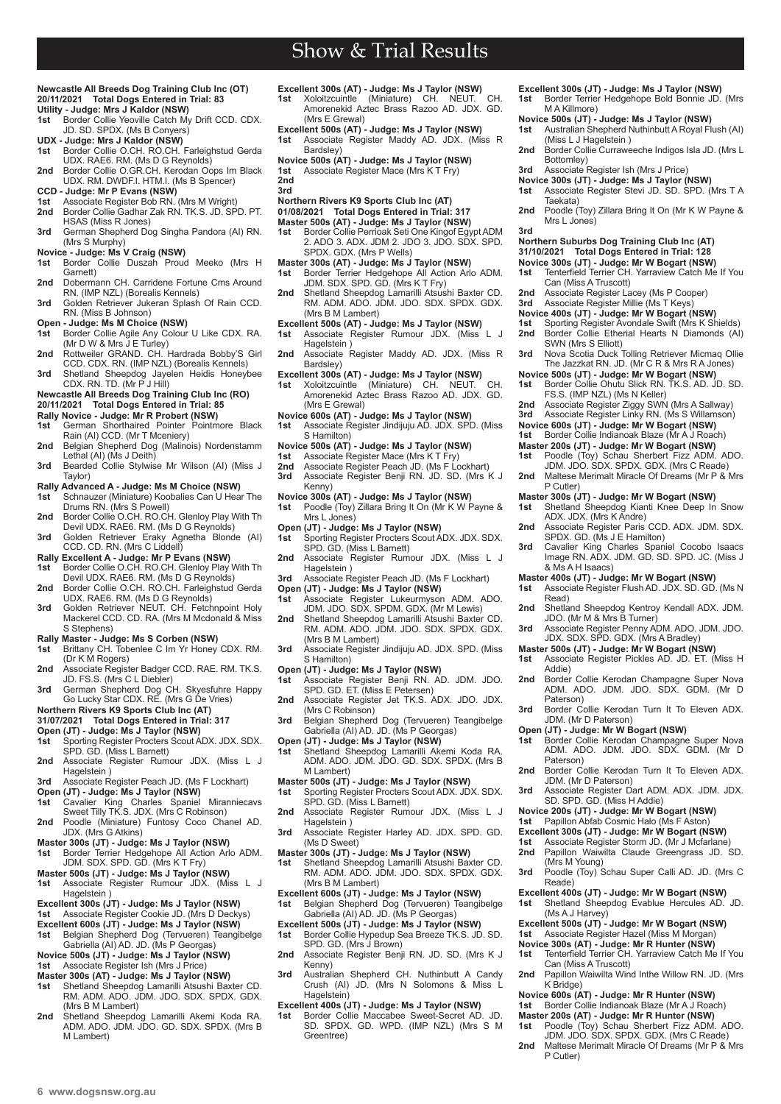## **Newcastle All Breeds Dog Training Club Inc (OT) 20/11/2021 Total Dogs Entered in Trial: 83**

- **Utility Judge: Mrs J Kaldor (NSW) Border Collie Yeoville Catch My Drift CCD. CDX.** JD. SD. SPDX. (Ms B Conyers)
- **UDX Judge: Mrs J Kaldor (NSW)**
- **1st** Border Collie O.CH. RO.CH. Farleighstud Gerda UDX. RAE6. RM. (Ms D G Reynolds) **2nd** Border Collie O.GR.CH. Kerodan Oops Im Black
- UDX. RM. DWDF.I. HTM.I. (Ms B Spencer)
- **CCD Judge: Mr P Evans (NSW)**<br>**1st** Associate Register Bob RN (
- **1st** Associate Register Bob RN. (Mrs M Wright) **2nd** Border Collie Gadhar Zak RN. TK.S. JD. SPD. PT. HSAS (Miss R Jones)
- **3rd** German Shepherd Dog Singha Pandora (AI) RN. (Mrs S Murphy)
- 
- **Novice Judge: Ms V Craig (NSW) 1st** Border Collie Duszah Proud Meeko (Mrs H Garnett)
- **2nd** Dobermann CH. Carridene Fortune Cms Around RN. (IMP NZL) (Borealis Kennels) **3rd** Golden Retriever Jukeran Splash Of Rain CCD.
- RN. (Miss B Johnson)
- **Open Judge: Ms M Choice (NSW)**
- **1st** Border Collie Agile Any Colour U Like CDX. RA. (Mr D W & Mrs J E Turley) **2nd** Rottweiler GRAND. CH. Hardrada Bobby'S Girl CCD. CDX. RN. (IMP NZL) (Borealis Kennels)
- 
- **3rd** Shetland Sheepdog Jayelen Heidis Honeybee CDX. RN. TD. (Mr P J Hill)

### **Newcastle All Breeds Dog Training Club Inc (RO) 20/11/2021 Total Dogs Entered in Trial: 85**

- **Rally Novice Judge: Mr R Probert (NSW)**
- **1st** German Shorthaired Pointer Pointmore Black
- Rain (AI) CCD. (Mr T Mceniery) **2nd** Belgian Shepherd Dog (Malinois) Nordenstamm Lethal (AI) (Ms J Deith)
- **3rd** Bearded Collie Stylwise Mr Wilson (AI) (Miss J Taylor)
- **Rally Advanced A Judge: Ms M Choice (NSW)**
- **1st** Schnauzer (Miniature) Koobalies Can U Hear The Drums RN. (Mrs S Powell)
- **2nd** Border Collie O.CH. RO.CH. Glenloy Play With Th Devil UDX. RAE6. RM. (Ms D G Reynolds)
- **3rd** Golden Retriever Eraky Agnetha Blonde (AI) CCD. CD. RN. (Mrs C Liddell)
- 
- **Rally Excellent A Judge: Mr P Evans (NSW)**<br>1st Border Collie O.CH. RO.CH. Glenloy Play With Th<br>Devil UDX. RAE6. RM. (Ms D G Reynolds)
- 2nd Border Collie O.CH. RO.CH. Farleighstud Gerda UDX. RAE6. RM. (Ms D G Reynolds) **3rd** Golden Retriever NEUT. CH. Fetchnpoint Holy
- Mackerel CCD. CD. RA. (Mrs M Mcdonald & Miss S Stephens)
- 
- **Rally Master Judge: Ms S Corben (NSW) 1st** Brittany CH. Tobenlee C Im Yr Honey CDX. RM. (Dr K M Rogers)
- **2nd** Associate Register Badger CCD. RAE. RM. TK.S. JD. FS.S. (Mrs C L Diebler)
- **3rd** German Shepherd Dog CH. Skyesfuhre Happy Go Lucky Star CDX. RE. (Mrs G De Vries)
- **Northern Rivers K9 Sports Club Inc (AT)**
- **31/07/2021 Total Dogs Entered in Trial: 317**
- **Open (JT) Judge: Ms J Taylor (NSW) 1st** Sporting Register Procters Scout ADX. JDX. SDX.
- SPD. GD. (Miss L Barnett) 2nd Associate Register Rumour JDX. (Miss L J Hagelstein )
- 3rd Associate Register Peach JD. (Ms F Lockhart)
- 
- 
- **Open (JT) Judge: Ms J Taylor (NSW)**<br>1st Cavalier King Charles Spaniel Miranniecavs<br> Sweet Tilly TK.S. JDX. (Mrs C Robinson) **2nd** Poodle (Miniature) Funtosy Coco Chanel AD. JDX. (Mrs G Atkins)
- 
- **Master 300s (JT) Judge: Ms J Taylor (NSW) 1st** Border Terrier Hedgehope All Action Arlo ADM. JDM. SDX. SPD. GD. (Mrs K T Fry)
- **Master 500s (JT) Judge: Ms J Taylor (NSW) 1st** Associate Register Rumour JDX. (Miss L J Hagelstein )
- 
- **Excellent 300s (JT) Judge: Ms J Taylor (NSW) 1st** Associate Register Cookie JD. (Mrs D Deckys)
- **Excellent 600s (JT) Judge: Ms J Taylor (NSW)**<br>1st Belgian Shepherd Dog (Tervueren) Teangil
- **1st** Belgian Shepherd Dog (Tervueren) Teangibelge Gabriella (AI) AD. JD. (Ms P Georgas)
- **Novice 500s (JT) Judge: Ms J Taylor (NSW) 1st** Associate Register Ish (Mrs J Price)
- **Master 300s (AT) Judge: Ms J Taylor (NSW)**
- **1st** Shetland Sheepdog Lamarilli Atsushi Baxter CD. RM. ADM. ADO. JDM. JDO. SDX. SPDX. GDX. (Mrs B M Lambert)
- 2nd Shetland Sheepdog Lamarilli Akemi Koda RA. ADM. ADO. JDM. JDO. GD. SDX. SPDX. (Mrs B M Lambert)
- **Excellent 300s (AT) Judge: Ms J Taylor (NSW) 1st** Xoloitzcuintle (Miniature) CH. NEUT. CH. Amorenekid Aztec Brass Razoo AD. JDX. GD. (Mrs E Grewal)
- **Excellent 500s (AT) Judge: Ms J Taylor (NSW) 1st** Associate Register Maddy AD. JDX. (Miss R Bardsley)
- **Novice 500s (AT) Judge: Ms J Taylor (NSW)**
- Associate Register Mace (Mrs K T Fry) **2nd**
- **3rd**
- **Northern Rivers K9 Sports Club Inc (AT)**
- **01/08/2021 Total Dogs Entered in Trial: 317**
- **Master 500s (AT) Judge: Ms J Taylor (NSW)**
- **1st** Border Collie Perrioak Seti One Kingof Egypt ADM 2. ADO 3. ADX. JDM 2. JDO 3. JDO. SDX. SPD. SPDX. GDX. (Mrs P Wells)
- **Master 300s (AT) Judge: Ms J Taylor (NSW) 1st** Border Terrier Hedgehope All Action Arlo ADM. JDM. SDX. SPD. GD. (Mrs K T Fry)
- **2nd** Shetland Sheepdog Lamarilli Atsushi Baxter CD. RM. ADM. ADO. JDM. JDO. SDX. SPDX. GDX. (Mrs B M Lambert)
- **Excellent 500s (AT) Judge: Ms J Taylor (NSW)**
- **1st** Associate Register Rumour JDX. (Miss L J Hagelstein )
- 2nd Associate Register Maddy AD. JDX. (Miss R Bardsley)
- **Excellent 300s (AT) Judge: Ms J Taylor (NSW)**
- **1st** Xoloitzcuintle (Miniature) CH. NEUT. CH. Amorenekid Aztec Brass Razoo AD. JDX. GD. (Mrs E Grewal)
- **Novice 600s (AT) Judge: Ms J Taylor (NSW) 1st** Associate Register Jindijuju AD. JDX. SPD. (Miss S Hamilton)
- 
- **Novice 500s (AT) Judge: Ms J Taylor (NSW) 1st** Associate Register Mace (Mrs K T Fry)
- 
- **2nd** Associate Register Peach JD. (Ms F Lockhart)<br>**3rd** Associate Register Benij RN. JD. SD. (Mrs I **3rd** Associate Register Benji RN. JD. SD. (Mrs K J Kenny)
- **Novice 300s (AT) Judge: Ms J Taylor (NSW)**
- **1st** Poodle (Toy) Zillara Bring It On (Mr K W Payne & Mrs L Jones)
- **Open (JT) Judge: Ms J Taylor (NSW) 1st** Sporting Register Procters Scout ADX. JDX. SDX. SPD. GD. (Miss L Barnett)
- 2nd Associate Register Rumour JDX. (Miss L J Hagelstein )
- **3rd** Associate Register Peach JD. (Ms F Lockhart)
- **Open (JT) Judge: Ms J Taylor (NSW)**<br>1st Associate Register Lukeurmysor
- **1st** Associate Register Lukeurmyson ADM. ADO.<br>
JDM. JDO. SDX. SPDM. GDX. (Mr M Lewis)<br> **2nd** Shetland Sheepdog Lamarilli Atsushi Baxter CD.<br>
RM. ADM. ADO. JDM. JDO. SDX. SPDX. GDX. (Mrs B M Lambert)
- 3rd Associate Register Jindijuju AD. JDX. SPD. (Miss S Hamilton)
- **Open (JT) Judge: Ms J Taylor (NSW)**
- **1st** Associate Register Benji RN. AD. JDM. JDO. SPD. GD. ET. (Miss E Petersen) **2nd** Associate Register Jet TK.S. ADX. JDO. JDX.
- (Mrs C Robinson)
- **3rd** Belgian Shepherd Dog (Tervueren) Teangibelge Gabriella (AI) AD. JD. (Ms P Georgas)
- **Open (JT) Judge: Ms J Taylor (NSW) 1st** Shetland Sheepdog Lamarilli Akemi Koda RA. ADM. ADO. JDM. JDO. GD. SDX. SPDX. (Mrs B M I ambert)
- **Master 500s (JT) Judge: Ms J Taylor (NSW) 1st** Sporting Register Procters Scout ADX. JDX. SDX.
- SPD. GD. (Miss L Barnett) 2nd Associate Register Rumour JDX. (Miss L J Hagelstein )
- 3rd Associate Register Harley AD. JDX. SPD. GD.
- (Ms D Sweet) **Master 300s (JT) - Judge: Ms J Taylor (NSW)**
- **1st** Shetland Sheepdog Lamarilli Atsushi Baxter CD. RM. ADM. ADO. JDM. JDO. SDX. SPDX. GDX. (Mrs B M Lambert)
- **Excellent 600s (JT) Judge: Ms J Taylor (NSW)**
- **1st** Belgian Shepherd Dog (Tervueren) Teangibelge Gabriella (AI) AD. JD. (Ms P Georgas)
- **Excellent 500s (JT) Judge: Ms J Taylor (NSW) 1st** Border Collie Hypedup Sea Breeze TK.S. JD. SD.
- SPD. GD. (Mrs J Brown) **2nd** Associate Register Benji RN. JD. SD. (Mrs K J Kenny)
- **3rd** Australian Shepherd CH. Nuthinbutt A Candy Crush (AI) JD. (Mrs N Solomons & Miss L Hagelstein<sup>)</sup>
- 
- **Excellent 400s (JT) Judge: Ms J Taylor (NSW) 1st** Border Collie Maccabee Sweet-Secret AD. JD. SD. SPDX. GD. WPD. (IMP NZL) (Mrs S M Greentree)

**Excellent 300s (JT) - Judge: Ms J Taylor (NSW) 1st** Border Terrier Hedgehope Bold Bonnie JD. (Mrs

**Novice 500s (JT) - Judge: Ms J Taylor (NSW) 1st** Australian Shepherd Nuthinbutt A Royal Flush (AI)

2nd Border Collie Curraweeche Indigos Isla JD. (Mrs L

**2nd** Poodle (Toy) Zillara Bring It On (Mr K W Payne &

**Northern Suburbs Dog Training Club Inc (AT) 31/10/2021 Total Dogs Entered in Trial: 128 Novice 300s (JT) - Judge: Mr W Bogart (NSW) 1st** Tenterfield Terrier CH. Yarraview Catch Me If You

**2nd** Associate Register Lacey (Ms P Cooper) **3rd** Associate Register Millie (Ms T Keys) **Novice 400s (JT) - Judge: Mr W Bogart (NSW) 1st** Sporting Register Avondale Swift (Mrs K Shields) **2nd** Border Collie Etherial Hearts N Diamonds (AI) SWN (Mrs S Elliott) **3rd** Nova Scotia Duck Tolling Retriever Micmaq Ollie The Jazzkat RN. JD. (Mr C R & Mrs R A Jones) **Novice 500s (JT) - Judge: Mr W Bogart (NSW) 1st** Border Collie Ohutu Slick RN. TK.S. AD. JD. SD.

FS.S. (IMP NZL) (Ms N Keller) **2nd** Associate Register Ziggy SWN (Mrs A Sallway)<br>**3rd** Associate Register Linky RN (Ms S Willamson) **3rd** Associate Register Linky RN. (Ms S Willamson)

**Novice 600s (JT) - Judge: Mr W Bogart (NSW) 1st** Border Collie Indianoak Blaze (Mr A J Roach) **Master 200s (JT) - Judge: Mr W Bogart (NSW) 1st** Poodle (Toy) Schau Sherbert Fizz ADM. ADO. JDM. JDO. SDX. SPDX. GDX. (Mrs C Reade) **2nd** Maltese Merimalt Miracle Of Dreams (Mr P & Mrs

**Master 300s (JT) - Judge: Mr W Bogart (NSW) 1st** Shetland Sheepdog Kianti Knee Deep In Snow ADX. JDX. (Mrs K Andre) **2nd** Associate Register Paris CCD. ADX. JDM. SDX.

**3rd** Cavalier King Charles Spaniel Cocobo Isaacs Image RN. ADX. JDM. GD. SD. SPD. JC. (Miss J

**Master 400s (JT) - Judge: Mr W Bogart (NSW) 1st** Associate Register Flush AD. JDX. SD. GD. (Ms N

**2nd** Shetland Sheepdog Kentroy Kendall ADX. JDM. JDO. (Mr M & Mrs B Turner) **3rd** Associate Register Penny ADM. ADO. JDM. JDO. JDX. SDX. SPD. GDX. (Mrs A Bradley) **Master 500s (JT) - Judge: Mr W Bogart (NSW) 1st** Associate Register Pickles AD. JD. ET. (Miss H

2nd Border Collie Kerodan Champagne Super Nova ADM. ADO. JDM. JDO. SDX. GDM. (Mr D

**3rd** Border Collie Kerodan Turn It To Eleven ADX.

**Open (JT) - Judge: Mr W Bogart (NSW) 1st** Border Collie Kerodan Champagne Super Nova ADM. ADO. JDM. JDO. SDX. GDM. (Mr D

**2nd** Border Collie Kerodan Turn It To Eleven ADX.

3rd Associate Register Dart ADM. ADX. JDM. JDX.

**3rd** Poodle (Toy) Schau Super Calli AD. JD. (Mrs C

**Excellent 400s (JT) - Judge: Mr W Bogart (NSW) 1st** Shetland Sheepdog Evablue Hercules AD. JD.

2nd Papillon Waiwilta Wind Inthe Willow RN. JD. (Mrs

**Novice 600s (AT) - Judge: Mr R Hunter (NSW) 1st** Border Collie Indianoak Blaze (Mr A J Roach) **Master 200s (AT) - Judge: Mr R Hunter (NSW) 1st** Poodle (Toy) Schau Sherbert Fizz ADM. ADO. JDM. JDO. SDX. SPDX. GDX. (Mrs C Reade) **2nd** Maltese Merimalt Miracle Of Dreams (Mr P & Mrs

**Excellent 500s (JT) - Judge: Mr W Bogart (NSW)**<br>**1st** Associate Register Hazel (Miss M Morgan) **1st** Associate Register Hazel (Miss M Morgan) **Novice 300s (AT) - Judge: Mr R Hunter (NSW) 1st** Tenterfield Terrier CH. Yarraview Catch Me If You

SPDX. GD. (Ms J E Hamilton)

**1st** Associate Register Stevi JD. SD. SPD. (Mrs T A

M A Killmore)

.<br>Taekata)

P Cutler)

& Ms A H Isaacs)

Read)

Addie)

Paterson)

Paterson)

(Mrs M Young)

(Ms A J Harvey)

Can (Miss A Truscott)

Reade)

K Bridge)

P Cutler)

JDM. (Mr D Paterson)

JDM. (Mr D Paterson)

SD. SPD. GD. (Miss H Addie) **Novice 200s (JT) - Judge: Mr W Bogart (NSW) 1st** Papillon Abfab Cosmic Halo (Ms F Aston) **Excellent 300s (JT) - Judge: Mr W Bogart (NSW) 1st** Associate Register Storm JD. (Mr J Mcfarlane) 2nd Papillon Waiwilta Claude Greengrass JD. SD

**3rd**

Mrs L Jones

(Miss L J Hagelstein )

Can (Miss A Truscott)

Bottomley) **3rd** Associate Register Ish (Mrs J Price) **Novice 300s (JT) - Judge: Ms J Taylor (NSW)**

**6 www.dogsnsw.org.au DOGS NSW Results received November 2021 7**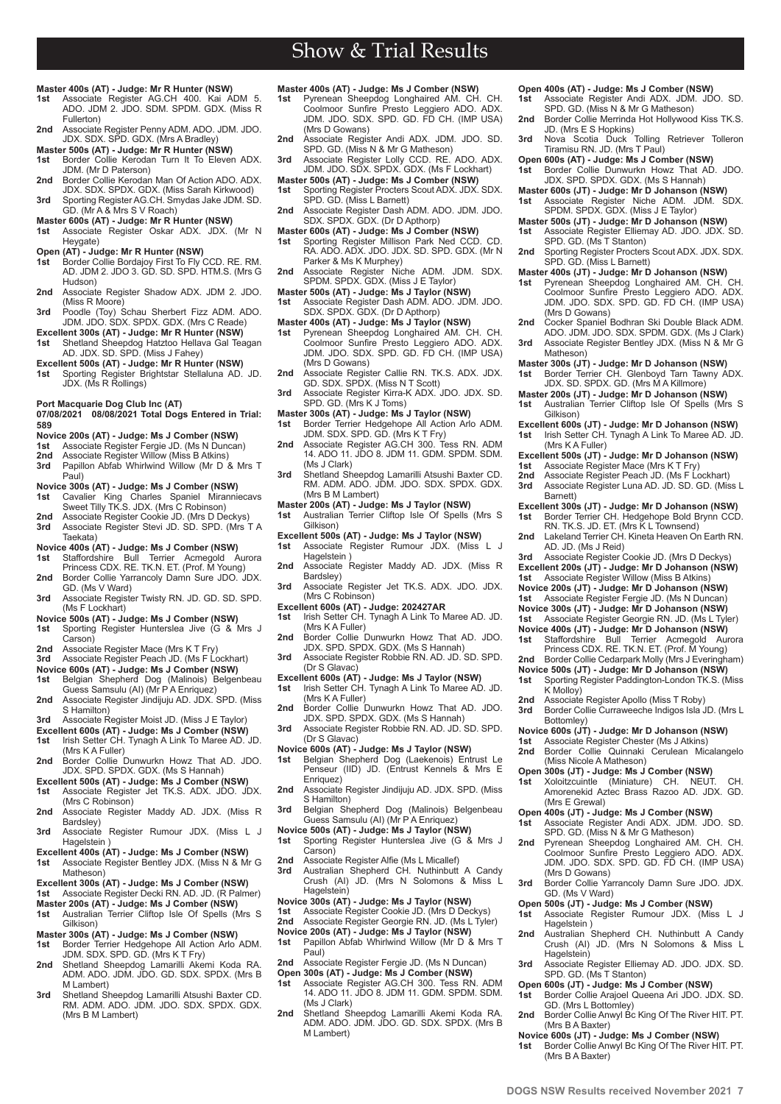- Show & Trial Results
- **Master 400s (AT) Judge: Mr R Hunter (NSW)**
- **1st** Associate Register AG.CH 400. Kai ADM 5. ADO. JDM 2. JDO. SDM. SPDM. GDX. (Miss R Fullerton)
- **2nd** Associate Register Penny ADM. ADO. JDM. JDO. JDX. SDX. SPD. GDX. (Mrs A Bradley)
- **Master 500s (AT) Judge: Mr R Hunter (NSW) 1st** Border Collie Kerodan Turn It To Eleven ADX.
- JDM. (Mr D Paterson) 2nd Border Collie Kerodan Man Of Action ADO. ADX.
- JDX. SDX. SPDX. GDX. (Miss Sarah Kirkwood) **3rd** Sporting Register AG.CH. Smydas Jake JDM. SD. GD. (Mr A & Mrs S V Roach)
- 
- **Master 600s (AT) Judge: Mr R Hunter (NSW) 1st** Associate Register Oskar ADX. JDX. (Mr N
- Heygate) **Open (AT) - Judge: Mr R Hunter (NSW)**
- **1st** Border Collie Bordajoy First To Fly CCD. RE. RM. AD. JDM 2. JDO 3. GD. SD. SPD. HTM.S. (Mrs G Hudson)
- 2nd Associate Register Shadow ADX. JDM 2. JDO. (Miss R Moore)
- **3rd** Poodle (Toy) Schau Sherbert Fizz ADM. ADO. JDM. JDO. SDX. SPDX. GDX. (Mrs C Reade)
- **Excellent 300s (AT) Judge: Mr R Hunter (NSW) 1st** Shetland Sheepdog Hatztoo Hellava Gal Teagan AD. JDX. SD. SPD. (Miss J Fahey)
- 
- **Excellent 500s (AT) Judge: Mr R Hunter (NSW) 1st** Sporting Register Brightstar Stellaluna AD. JD. JDX. (Ms R Rollings)
- **Port Macquarie Dog Club Inc (AT)**

### **07/08/2021 08/08/2021 Total Dogs Entered in Trial: 589**

- **Novice 200s (AT) Judge: Ms J Comber (NSW) 1st** Associate Register Fergie JD. (Ms N Duncan)
- 
- **2nd** Associate Register Willow (Miss B Atkins)<br> **3rd** Panillon Abfab Whirlwind Willow (Mr. D. **3rd** Papillon Abfab Whirlwind Willow (Mr D & Mrs T Paul)
- **Novice 300s (AT) Judge: Ms J Comber (NSW)**
- **1st** Cavalier King Charles Spaniel Miranniecavs Sweet Tilly TK.S. JDX. (Mrs C Robinson) **2nd** Associate Register Cookie JD. (Mrs D Deckys) **3rd** Associate Register Stevi JD. SD. SPD. (Mrs T A
- Taekata)
- **Novice 400s (AT) Judge: Ms J Comber (NSW)**
- **1st** Staffordshire Bull Terrier Acmegold Aurora Princess CDX. RE. TK.N. ET. (Prof. M Young) **2nd** Border Collie Yarrancoly Damn Sure JDO. JDX.
- GD. (Ms V Ward) **3rd** Associate Register Twisty RN. JD. GD. SD. SPD. (Ms F Lockhart)
- **Novice 500s (AT) Judge: Ms J Comber (NSW) 1st** Sporting Register Hunterslea Jive (G & Mrs J
- Carson)
- 2nd Associate Register Mace (Mrs K T Fry)
- **3rd** Associate Register Peach JD. (Ms F Lockhart)
- **Novice 600s (AT) Judge: Ms J Comber (NSW) 1st** Belgian Shepherd Dog (Malinois) Belgenbeau Guess Samsulu (AI) (Mr P A Enriquez)
- **2nd** Associate Register Jindijuju AD. JDX. SPD. (Miss S Hamilton)
- **3rd** Associate Register Moist JD. (Miss J E Taylor)
- **Excellent 600s (AT) Judge: Ms J Comber (NSW) 1st** Irish Setter CH. Tynagh A Link To Maree AD. JD. (Mrs K A Fuller)
- 2nd Border Collie Dunwurkn Howz That AD. JDO. JDX. SPD. SPDX. GDX. (Ms S Hannah)
- **Excellent 500s (AT) Judge: Ms J Comber (NSW) 1st** Associate Register Jet TK.S. ADX. JDO. JDX. (Mrs C Robinson)
- **2nd** Associate Register Maddy AD. JDX. (Miss R Bardsley)
- **3rd** Associate Register Rumour JDX. (Miss L J Hagelstein
- **Excellent 400s (AT) Judge: Ms J Comber (NSW) 1st** Associate Register Bentley JDX. (Miss N & Mr G
- Matheson)
- **Excellent 300s (AT) Judge: Ms J Comber (NSW) 1st** Associate Register Decki RN. AD. JD. (R Palmer)
- 
- **Master 200s (AT) Judge: Ms J Comber (NSW) 1st** Australian Terrier Cliftop Isle Of Spells (Mrs S Gilkison)
- **Master 300s (AT) Judge: Ms J Comber (NSW)**
- **1st** Border Terrier Hedgehope All Action Arlo ADM. JDM. SDX. SPD. GD. (Mrs K T Fry)
- **2nd** Shetland Sheepdog Lamarilli Akemi Koda RA. ADM. ADO. JDM. JDO. GD. SDX. SPDX. (Mrs B M Lambert)
- **3rd** Shetland Sheepdog Lamarilli Atsushi Baxter CD. RM. ADM. ADO. JDM. JDO. SDX. SPDX. GDX. (Mrs B M Lambert)

**6 www.dogsnsw.org.au DOGS NSW Results received November 2021 7**

- **Master 400s (AT) Judge: Ms J Comber (NSW)**
- **1st** Pyrenean Sheepdog Longhaired AM. CH. CH. Coolmoor Sunfire Presto Leggiero ADO. ADX. JDM. JDO. SDX. SPD. GD. FD CH. (IMP USA) (Mrs D Gowans)
- **2nd** Associate Register Andi ADX. JDM. JDO. SD. SPD. GD. (Miss N & Mr G Matheson)
- **3rd** Associate Register Lolly CCD. RE. ADO. ADX. JDM. JDO. SDX. SPDX. GDX. (Ms F Lockhart)
- **Master 500s (AT) Judge: Ms J Comber (NSW) 1st** Sporting Register Procters Scout ADX. JDX. SDX.
- SPD. GD. (Miss L Barnett) **2nd** Associate Register Dash ADM. ADO. JDM. JDO. SDX. SPDX. GDX. (Dr D Apthorp)
- **Master 600s (AT) Judge: Ms J Comber (NSW)**
- **1st** Sporting Register Millison Park Ned CCD. CD. RA. ADO. ADX. JDO. JDX. SD. SPD. GDX. (Mr N Parker & Ms K Murphey)
- **2nd** Associate Register Niche ADM. JDM. SDX. SPDM. SPDX. GDX. (Miss J E Taylor)
- **Master 500s (AT) Judge: Ms J Taylor (NSW) 1st** Associate Register Dash ADM. ADO. JDM. JDO.
- SDX. SPDX. GDX. (Dr D Apthorp)
- **Master 400s (AT) Judge: Ms J Taylor (NSW) 1st** Pyrenean Sheepdog Longhaired AM. CH. CH. Coolmoor Sunfire Presto Leggiero ADO. ADX. JDM. JDO. SDX. SPD. GD. FD CH. (IMP USA) (Mrs D Gowans)
- **2nd** Associate Register Callie RN. TK.S. ADX. JDX. GD. SDX. SPDX. (Miss N T Scott)
- **3rd** Associate Register Kirra-K ADX. JDO. JDX. SD. SPD. GD. (Mrs K J Toms)
- **Master 300s (AT) Judge: Ms J Taylor (NSW) 1st** Border Terrier Hedgehope All Action Arlo ADM.
- JDM. SDX. SPD. GD. (Mrs K T Fry) **2nd** Associate Register AG.CH 300. Tess RN. ADM
- 14. ADO 11. JDO 8. JDM 11. GDM. SPDM. SDM. (Ms J Clark)
- **3rd** Shetland Sheepdog Lamarilli Atsushi Baxter CD. RM. ADM. ADO. JDM. JDO. SDX. SPDX. GDX. (Mrs B M Lambert)
- **Master 200s (AT) Judge: Ms J Taylor (NSW) 1st** Australian Terrier Cliftop Isle Of Spells (Mrs S
- Gilkison)
- **Excellent 500s (AT) Judge: Ms J Taylor (NSW)**
- **1st** Associate Register Rumour JDX. (Miss L J Hagelstein ) **2nd** Associate Register Maddy AD. JDX. (Miss R
- Bardsley)
- **3rd** Associate Register Jet TK.S. ADX. JDO. JDX. (Mrs C Robinson)
- **Excellent 600s (AT) Judge: 202427AR 1st** Irish Setter CH. Tynagh A Link To Maree AD. JD.
- (Mrs K A Fuller) **2nd** Border Collie Dunwurkn Howz That AD. JDO.
- JDX. SPD. SPDX. GDX. (Ms S Hannah) **3rd** Associate Register Robbie RN. AD. JD. SD. SPD.
- (Dr S Glavac)
- **Excellent 600s (AT) Judge: Ms J Taylor (NSW) 1st** Irish Setter CH. Tynagh A Link To Maree AD. JD.
- (Mrs K A Fuller)
- **2nd** Border Collie Dunwurkn Howz That AD. JDO. JDX. SPD. SPDX. GDX. (Ms S Hannah) **3rd** Associate Register Robbie RN. AD. JD. SD. SPD.
- (Dr S Glavac)
- **Novice 600s (AT) Judge: Ms J Taylor (NSW)**
- **1st** Belgian Shepherd Dog (Laekenois) Entrust Le Penseur (IID) JD. (Entrust Kennels & Mrs E Enriquez)
- **2nd** Associate Register Jindijuju AD. JDX. SPD. (Miss S Hamilton)
- **3rd** Belgian Shepherd Dog (Malinois) Belgenbeau Guess Samsulu (AI) (Mr P A Enriquez)
- **Novice 500s (AT) Judge: Ms J Taylor (NSW)**
- **1st** Sporting Register Hunterslea Jive (G & Mrs J Carson)
- **2nd** Associate Register Alfie (Ms L Micallef)
- **3rd** Australian Shepherd CH. Nuthinbutt A Candy Crush (AI) JD. (Mrs N Solomons & Miss L Hagelstein)
- **Novice 300s (AT) Judge: Ms J Taylor (NSW)**
- **1st** Associate Register Cookie JD. (Mrs D Deckys) **2nd** Associate Register Georgie RN. JD. (Ms L Tyler)
- **Novice 200s (AT) Judge: Ms J Taylor (NSW)**
- **1st** Papillon Abfab Whirlwind Willow (Mr D & Mrs T Paul)
- **2nd** Associate Register Fergie JD. (Ms N Duncan)
- **Open 300s (AT) Judge: Ms J Comber (NSW) 1st** Associate Register AG.CH 300. Tess RN. ADM 14. ADO 11. JDO 8. JDM 11. GDM. SPDM. SDM.  $(Ms, I^{Clark})$
- **2nd** Shetland Sheepdog Lamarilli Akemi Koda RA. ADM. ADO. JDM. JDO. GD. SDX. SPDX. (Mrs B M Lambert)
- **Open 400s (AT) Judge: Ms J Comber (NSW)**<br>**1st** Associate Register Andi ADX, JDM, JD
- **1st** Associate Register Andi ADX. JDM. JDO. SD. SPD. GD. (Miss N & Mr G Matheson)
- 2nd Border Collie Merrinda Hot Hollywood Kiss TK.S. JD. (Mrs E S Hopkins) **3rd** Nova Scotia Duck Tolling Retriever Tolleron
- Tiramisu RN. JD. (Mrs T Paul)
- **Open 600s (AT) Judge: Ms J Comber (NSW) 1st** Border Collie Dunwurkn Howz That AD. JDO. JDX. SPD. SPDX. GDX. (Ms S Hannah)

**2nd** Sporting Register Procters Scout ADX. JDX. SDX.

2nd Cocker Spaniel Bodhran Ski Double Black ADM ADO. JDM. JDO. SDX. SPDM. GDX. (Ms J Clark) **3rd** Associate Register Bentley JDX. (Miss N & Mr G

**Master 300s (JT) - Judge: Mr D Johanson (NSW) 1st** Border Terrier CH. Glenboyd Tarn Tawny ADX. JDX. SD. SPDX. GD. (Mrs M A Killmore) **Master 200s (JT) - Judge: Mr D Johanson (NSW) 1st** Australian Terrier Cliftop Isle Of Spells (Mrs S

**Excellent 600s (JT) - Judge: Mr D Johanson (NSW) 1st** Irish Setter CH. Tynagh A Link To Maree AD. JD.

**Excellent 500s (JT) - Judge: Mr D Johanson (NSW)**<br>**1st** Associate Register Mace (Mrs K T Frv) **1st** Associate Register Mace (Mrs K T Fry) **2nd** Associate Register Peach JD. (Ms F Lockhart) **3rd** Associate Register Luna AD. JD. SD. GD. (Miss L

**Excellent 300s (JT) - Judge: Mr D Johanson (NSW) 1st** Border Terrier CH. Hedgehope Bold Brynn CCD. RN. TK.S. JD. ET. (Mrs K L Townsend) **2nd** Lakeland Terrier CH. Kineta Heaven On Earth RN. AD. JD. (Ms J Reid) **3rd** Associate Register Cookie JD. (Mrs D Deckys) **Excellent 200s (JT) - Judge: Mr D Johanson (NSW) 1st** Associate Register Willow (Miss B Atkins) **Novice 200s (JT) - Judge: Mr D Johanson (NSW) 1st** Associate Register Fergie JD. (Ms N Duncan) **Novice 300s (JT) - Judge: Mr D Johanson (NSW) 1st** Associate Register Georgie RN. JD. (Ms L Tyler) **Novice 400s (JT) - Judge: Mr D Johanson (NSW) 1st** Staffordshire Bull Terrier Acmegold Aurora Princess CDX. RE. TK.N. ET. (Prof. M Young) **2nd** Border Collie Cedarpark Molly (Mrs J Everingham) **Novice 500s (JT) - Judge: Mr D Johanson (NSW) 1st** Sporting Register Paddington-London TK.S. (Miss

**Master 400s (JT) - Judge: Mr D Johanson (NSW)**<br>**1st** Pyrenean Sheepdog Longhaired AM. CH. **1st** Pyrenean Sheepdog Longhaired AM. CH. CH. Coolmoor Sunfire Presto Leggiero ADO. ADX. JDM. JDO. SDX. SPD. GD. FD CH. (IMP USA)

**Master 600s (JT) - Judge: Mr D Johanson (NSW) 1st** Associate Register Niche ADM. JDM. SDX. SPDM. SPDX. GDX. (Miss J E Taylor) **Master 500s (JT) - Judge: Mr D Johanson (NSW) 1st** Associate Register Elliemay AD. JDO. JDX. SD.

SPD. GD. (Ms T Stanton)

SPD. GD. (Miss L Barnett)

(Mrs D Gowans)

Matheson)

Gilkison)

Barnett)

K Molloy)

Bottomley)

(Mrs E Grewal)

(Mrs D Gowans)

GD. (Ms V Ward)

SPD. GD. (Ms T Stanton)

GD. (Mrs L Bottomley)

(Mrs B A Baxter)

(Mrs B A Baxter)

Hagelstein )

Hagelstein)

**2nd** Associate Register Apollo (Miss T Roby)<br>**3rd** Border Collie Curraweeche Indigos Isla

(Miss Nicole A Matheson) **Open 300s (JT) - Judge: Ms J Comber (NSW) 1st** Xoloitzcuintle (Miniature) CH. NEUT. CH. Amorenekid Aztec Brass Razoo AD. JDX. GD.

**Novice 600s (JT) - Judge: Mr D Johanson (NSW) 1st** Associate Register Chester (Ms J Atkins) **2nd** Border Collie Quinnaki Cerulean Micalangelo

**Open 400s (JT) - Judge: Ms J Comber (NSW)**<br>**1st** Associate Register Andi ADX, JDM, JD **1st** Associate Register Andi ADX. JDM. JDO. SD. SPD. GD. (Miss N & Mr G Matheson) **2nd** Pyrenean Sheepdog Longhaired AM. CH. CH. Coolmoor Sunfire Presto Leggiero ADO. ADX. JDM. JDO. SDX. SPD. GD. FD CH. (IMP USA)

**Open 500s (JT) - Judge: Ms J Comber (NSW)**<br>**1st** Associate Register Rumour JDX. (Mis

3rd Border Collie Yarrancoly Damn Sure JDO. JDX.

**2nd** Australian Shepherd CH. Nuthinbutt A Candy Crush (AI) JD. (Mrs N Solomons & Miss L

**3rd** Associate Register Elliemay AD. JDO. JDX. SD.

**Open 600s (JT) - Judge: Ms J Comber (NSW) 1st** Border Collie Arajoel Queena Ari JDO. JDX. SD.

**2nd** Border Collie Anwyl Bc King Of The River HIT. PT.

**Novice 600s (JT) - Judge: Ms J Comber (NSW) 1st** Border Collie Anwyl Bc King Of The River HIT. PT.

**1st** Associate Register Rumour JDX. (Miss L J

**3rd** Border Collie Curraweeche Indigos Isla JD. (Mrs L

(Mrs K A Fuller)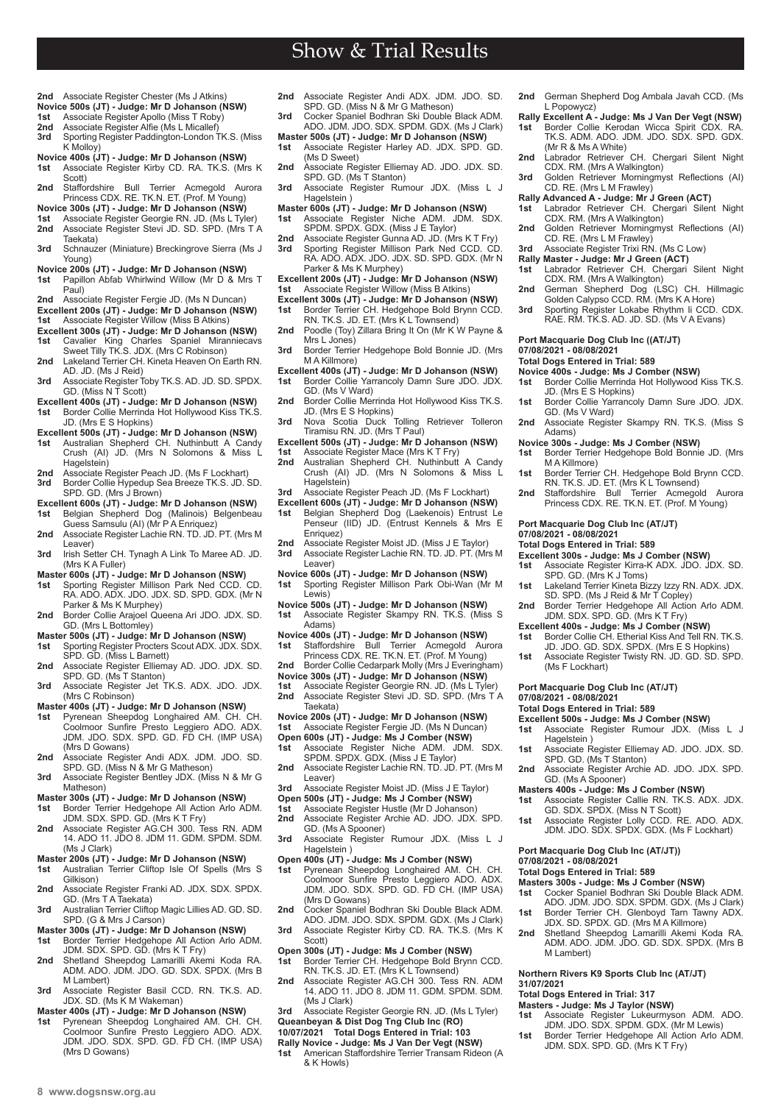- Show & Trial Results
- **2nd** Associate Register Chester (Ms J Atkins)
- **Novice 500s (JT) Judge: Mr D Johanson (NSW)**<br>**1st** Associate Register Apollo (Miss T Roby)
- **1st** Associate Register Apollo (Miss T Roby)<br>**2nd** Associate Register Alfie (Ms L Micallef)
- **2nd** Associate Register Alfie (Ms L Micallef)<br>**3rd** Sporting Register Paddington-London **3rd** Sporting Register Paddington-London TK.S. (Miss
- K Molloy) **Novice 400s (JT) - Judge: Mr D Johanson (NSW)**
- **1st** Associate Register Kirby CD. RA. TK.S. (Mrs K Scott)
- **2nd** Staffordshire Bull Terrier Acmegold Aurora Princess CDX. RE. TK.N. ET. (Prof. M Young)
- **Novice 300s (JT) Judge: Mr D Johanson (NSW)**
- **1st** Associate Register Georgie RN. JD. (Ms L Tyler) **2nd** Associate Register Stevi JD. SD. SPD. (Mrs T A Taekata)
- 3rd Schnauzer (Miniature) Breckingrove Sierra (Ms J Young)
- **Novice 200s (JT) Judge: Mr D Johanson (NSW) 1st** Papillon Abfab Whirlwind Willow (Mr D & Mrs T
- Paul)
- **2nd** Associate Register Fergie JD. (Ms N Duncan)
- **Excellent 200s (JT) Judge: Mr D Johanson (NSW) 1st** Associate Register Willow (Miss B Atkins)
- **Excellent 300s (JT) Judge: Mr D Johanson (NSW)**<br>**1st** Cavalier King Charles Spaniel Miranniecav
- **1st** Cavalier King Charles Spaniel Miranniecavs Sweet Tilly TK.S. JDX. (Mrs C Robinson) **2nd** Lakeland Terrier CH. Kineta Heaven On Earth RN.
- AD. JD. (Ms J Reid) **3rd** Associate Register Toby TK.S. AD. JD. SD. SPDX.
- GD. (Miss N T Scott) **Excellent 400s (JT) - Judge: Mr D Johanson (NSW)**
- **1st** Border Collie Merrinda Hot Hollywood Kiss TK.S. JD. (Mrs E S Hopkins)
- 
- **Excellent 500s (JT) Judge: Mr D Johanson (NSW) 1st** Australian Shepherd CH. Nuthinbutt A Candy Crush (AI) JD. (Mrs N Solomons & Miss L Hagelstein<sup>)</sup>
- **2nd** Associate Register Peach JD. (Ms F Lockhart)<br>**3rd** Border Collie Hypedup Sea Breeze TK.S. JD. SD.<br>SPD. GD. (Mrs J Brown)
- 
- **Excellent 600s (JT) Judge: Mr D Johanson (NSW) 1st** Belgian Shepherd Dog (Malinois) Belgenbeau Guess Samsulu (AI) (Mr P A Enriquez)
- **2nd** Associate Register Lachie RN. TD. JD. PT. (Mrs M Leaver)
- **3rd** Irish Setter CH. Tynagh A Link To Maree AD. JD. (Mrs K A Fuller)
- **Master 600s (JT) Judge: Mr D Johanson (NSW) 1st** Sporting Register Millison Park Ned CCD. CD.
- RA. ADO. ADX. JDO. JDX. SD. SPD. GDX. (Mr N Parker & Ms K Murphey) **2nd** Border Collie Arajoel Queena Ari JDO. JDX. SD.
- GD. (Mrs L Bottomley)
- **Master 500s (JT) Judge: Mr D Johanson (NSW) 1st** Sporting Register Procters Scout ADX. JDX. SDX.
- SPD. GD. (Miss L Barnett) **2nd** Associate Register Elliemay AD. JDO. JDX. SD.
- SPD. GD. (Ms T Stanton) **3rd** Associate Register Jet TK.S. ADX. JDO. JDX.
- (Mrs C Robinson)
- **Master 400s (JT) Judge: Mr D Johanson (NSW)**
- **1st** Pyrenean Sheepdog Longhaired AM. CH. CH. Coolmoor Sunfire Presto Leggiero ADO. ADX. JDM. JDO. SDX. SPD. GD. FD CH. (IMP USA) (Mrs D Gowans)
- **2nd** Associate Register Andi ADX. JDM. JDO. SD. SPD. GD. (Miss N & Mr G Matheson) **3rd** Associate Register Bentley JDX. (Miss N & Mr G
- Matheson)
- **Master 300s (JT) Judge: Mr D Johanson (NSW)**
- **1st** Border Terrier Hedgehope All Action Arlo ADM. JDM. SDX. SPD. GD. (Mrs K T Fry) **2nd** Associate Register AG.CH 300. Tess RN. ADM
- 14. ADO 11. JDO 8. JDM 11. GDM. SPDM. SDM. (Ms J Clark)
- **Master 200s (JT) Judge: Mr D Johanson (NSW)**
- **1st** Australian Terrier Cliftop Isle Of Spells (Mrs S Gilkison)
- **2nd** Associate Register Franki AD. JDX. SDX. SPDX. GD. (Mrs T A Taekata) **3rd** Australian Terrier Cliftop Magic Lillies AD. GD. SD.
- SPD. (G & Mrs J Carson)
- **Master 300s (JT) Judge: Mr D Johanson (NSW)**
- **1st** Border Terrier Hedgehope All Action Arlo ADM. JDM. SDX. SPD. GD. (Mrs K T Fry) **2nd** Shetland Sheepdog Lamarilli Akemi Koda RA. ADM. ADO. JDM. JDO. GD. SDX. SPDX. (Mrs B
- M Lambert) **3rd** Associate Register Basil CCD. RN. TK.S. AD. JDX. SD. (Ms K M Wakeman)
- **Master 400s (JT) Judge: Mr D Johanson (NSW)**
- **1st** Pyrenean Sheepdog Longhaired AM. CH. CH. Coolmoor Sunfire Presto Leggiero ADO. ADX. JDM. JDO. SDX. SPD. GD. FD CH. (IMP USA) (Mrs D Gowans)
- **2nd** Associate Register Andi ADX. JDM. JDO. SD. SPD. GD. (Miss N & Mr G Matheson)
- **3rd** Cocker Spaniel Bodhran Ski Double Black ADM. ADO. JDM. JDO. SDX. SPDM. GDX. (Ms J Clark)
- **Master 500s (JT) Judge: Mr D Johanson (NSW) 1st** Associate Register Harley AD. JDX. SPD. GD. (Ms D Sweet)
- **2nd** Associate Register Elliemay AD. JDO. JDX. SD. SPD. GD. (Ms T Stanton) **3rd** Associate Register Rumour JDX. (Miss L J
- Hagelstein )
- **Master 600s (JT) Judge: Mr D Johanson (NSW) 1st** Associate Register Niche ADM. JDM. SDX. SPDM. SPDX. GDX. (Miss J E Taylor)
- **2nd** Associate Register Gunna AD. JD. (Mrs K T Fry)
- **3rd** Sporting Register Millison Park Ned CCD. CD. RA. ADO. ADX. JDO. JDX. SD. SPD. GDX. (Mr N Parker & Ms K Murphey)
- **Excellent 200s (JT) Judge: Mr D Johanson (NSW) 1st** Associate Register Willow (Miss B Atkins)
- **Excellent 300s (JT) Judge: Mr D Johanson (NSW) 1st** Border Terrier CH. Hedgehope Bold Brynn CCD. RN. TK.S. JD. ET. (Mrs K L Townsend)
- 2nd Poodle (Toy) Zillara Bring It On (Mr K W Payne &
- Mrs L.Jones) **3rd** Border Terrier Hedgehope Bold Bonnie JD. (Mrs M A Killmore)
- **Excellent 400s (JT) Judge: Mr D Johanson (NSW) 1st** Border Collie Yarrancoly Damn Sure JDO. JDX.
- GD. (Ms V Ward) **2nd** Border Collie Merrinda Hot Hollywood Kiss TK.S.
- JD. (Mrs E S Hopkins) **3rd** Nova Scotia Duck Tolling Retriever Tolleron Tiramisu RN. JD. (Mrs T Paul)
- 
- **Excellent 500s (JT) Judge: Mr D Johanson (NSW)**<br>**1st** Associate Register Mace (Mrs K T Frv)
- **1st** Associate Register Mace (Mrs K T Fry) **2nd** Australian Shepherd CH. Nuthinbutt A Candy Crush (AI) JD. (Mrs N Solomons & Miss L Hagelstein)
- **3rd** Associate Register Peach JD. (Ms F Lockhart)
- **Excellent 600s (JT) Judge: Mr D Johanson (NSW) 1st** Belgian Shepherd Dog (Laekenois) Entrust Le Penseur (IID) JD. (Entrust Kennels & Mrs E Enriquez)
- **2nd** Associate Register Moist JD. (Miss J E Taylor) **3rd** Associate Register Lachie RN. TD. JD. PT. (Mrs M
- Leaver)
- **Novice 600s (JT) Judge: Mr D Johanson (NSW) 1st** Sporting Register Millison Park Obi-Wan (Mr M Lewis)
- **Novice 500s (JT) Judge: Mr D Johanson (NSW)**
- **1st** Associate Register Skampy RN. TK.S. (Miss S Adams)
- **Novice 400s (JT) Judge: Mr D Johanson (NSW) 1st** Staffordshire Bull Terrier Acmegold Aurora Princess CDX. RE. TK.N. ET. (Prof. M Young)
- 
- **2nd** Border Collie Cedarpark Molly (Mrs J Everingham)
- **Novice 300s (JT) Judge: Mr D Johanson (NSW) 1st** Associate Register Georgie RN. JD. (Ms L Tyler)
- 2nd Associate Register Stevi JD. SD. SPD. (Mrs T<sup>'A</sup> Taekata)
- **Novice 200s (JT) Judge: Mr D Johanson (NSW)**
- **1st** Associate Register Fergie JD. (Ms N Duncan)
- **Open 600s (JT) Judge: Ms J Comber (NSW) 1st** Associate Register Niche ADM. JDM. SDX. SPDM. SPDX. GDX. (Miss J E Taylor)
- **2nd** Associate Register Lachie RN. TD. JD. PT. (Mrs M Leaver)
- **3rd** Associate Register Moist JD. (Miss J E Taylor)
- **Open 500s (JT) Judge: Ms J Comber (NSW)**<br>**1st** Associate Register Hustle (Mr D Johanson
- **1st** Associate Register Hustle (Mr D Johanson)<br> **2nd** Associate Register Archie AD JDO JDX
- **2nd** Associate Register Archie AD. JDO. JDX. SPD. GD. (Ms A Spooner)
- **3rd** Associate Register Rumour JDX. (Miss L J Hagelstein )
- 
- **Open 400s (JT) Judge: Ms J Comber (NSW)**<br>**1st** Pyrenean Sheepdog Longhaired AM. CH. Ch.<br>Coolmoor Sunfire Presto Leggiero ADO. ADX.<br>JDM. JDO. SDX. SPD. GD. FD CH. (IMP USA) (Mrs D Gowans) **2nd** Cocker Spaniel Bodhran Ski Double Black ADM.
- ADO. JDM. JDO. SDX. SPDM. GDX. (Ms J Clark) 3rd Associate Register Kirby CD. RA. TK.S. (Mrs K
- Scott) **Open 300s (JT) - Judge: Ms J Comber (NSW)**
- **1st** Border Terrier CH. Hedgehope Bold Brynn CCD. RN. TK.S. JD. ET. (Mrs K L Townsend)
- **2nd** Associate Register AG.CH 300. Tess RN. ADM 14. ADO 11. JDO 8. JDM 11. GDM. SPDM. SDM. (Ms J Clark)
- **3rd** Associate Register Georgie RN. JD. (Ms L Tyler) **Queanbeyan & Dist Dog Tng Club Inc (RO) 10/07/2021 Total Dogs Entered in Trial: 103**
- 
- **Rally Novice Judge: Ms J Van Der Vegt (NSW) 1st** American Staffordshire Terrier Transam Rideon (A & K Howls)
- **2nd** German Shepherd Dog Ambala Javah CCD. (Ms L Popowycz)
- **Rally Excellent A Judge: Ms J Van Der Vegt (NSW) 1st** Border Collie Kerodan Wicca Spirit CDX. RA. TK.S. ADM. ADO. JDM. JDO. SDX. SPD. GDX.

**2nd** Labrador Retriever CH. Chergari Silent Night CDX. RM. (Mrs A Walkington) **3rd** Golden Retriever Morningmyst Reflections (AI)

**2nd** German Shepherd Dog (LSC) CH. Hillmagic Golden Calypso CCD. RM. (Mrs K A Hore) **3rd** Sporting Register Lokabe Rhythm Ii CCD. CDX.<br>RAE. RM. TK.S. AD. JD. SD. (Ms V A Evans)

Border Collie Merrinda Hot Hollywood Kiss TK.S.

**1st** Border Collie Yarrancoly Damn Sure JDO. JDX.

2nd Associate Register Skampy RN. TK.S. (Miss S

**Novice 300s - Judge: Ms J Comber (NSW) 1st** Border Terrier Hedgehope Bold Bonnie JD. (Mrs

**1st** Border Terrier CH. Hedgehope Bold Brynn CCD.<br>RN. TK.S. JD. ET. (Mrs K L Townsend)<br>**2nd** Staffordshire Bull Terrier Acmegold Aurora<br>Princess CDX. RE. TK.N. ET. (Prof. M Young)

**1st** Associate Register Kirra-K ADX. JDO. JDX. SD. SPD. GD. (Mrs K J Toms) **1st** Lakeland Terrier Kineta Bizzy Izzy RN. ADX. JDX. SD. SPD. (Ms J Reid & Mr T Copley) **2nd** Border Terrier Hedgehope All Action Arlo ADM. JDM. SDX. SPD. GD. (Mrs K T Fry) **Excellent 400s - Judge: Ms J Comber (NSW) 1st** Border Collie CH. Etherial Kiss And Tell RN. TK.S. JD. JDO. GD. SDX. SPDX. (Mrs E S Hopkins) **1st** Associate Register Twisty RN. JD. GD. SD. SPD.

(Mr R & Ms A White)

CD. RE. (Mrs L M Frawley) **Rally Advanced A - Judge: Mr J Green (ACT) 1st** Labrador Retriever CH. Chergari Silent Night CDX. RM. (Mrs A Walkington) 2nd Golden Retriever Morningmyst Reflections (AI)

CD. RE. (Mrs L M Frawley) 3rd Associate Register Trixi RN. (Ms C Low) **Rally Master - Judge: Mr J Green (ACT) 1st** Labrador Retriever CH. Chergari Silent Night

CDX. RM. (Mrs A Walkington)

**Port Macquarie Dog Club Inc ((AT/JT)** 

JD. (Mrs E S Hopkins)

**Port Macquarie Dog Club Inc (AT/JT)** 

**Excellent 300s - Judge: Ms J Comber (NSW)**

GD. (Ms V Ward)

Adams)

M A Killmore)

**07/08/2021 - 08/08/2021 Total Dogs Entered in Trial: 589**

(Ms F Lockhart)

**07/08/2021 - 08/08/2021 Total Dogs Entered in Trial: 589**

Hagelstein )

**07/08/2021 - 08/08/2021 Total Dogs Entered in Trial: 589**

M Lambert)

**Total Dogs Entered in Trial: 317**

**31/07/2021**

GD. (Ms A Spooner)

**Port Macquarie Dog Club Inc (AT/JT))** 

**Masters 300s - Judge: Ms J Comber (NSW)**

**Northern Rivers K9 Sports Club Inc (AT/JT)** 

**Masters - Judge: Ms J Taylor (NSW) 1st** Associate Register Lukeurmyson ADM. ADO. JDM. JDO. SDX. SPDM. GDX. (Mr M Lewis) **1st** Border Terrier Hedgehope All Action Arlo ADM. JDM. SDX. SPD. GD. (Mrs K T Fry)

**Port Macquarie Dog Club Inc (AT/JT)** 

**Excellent 500s - Judge: Ms J Comber (NSW) 1st** Associate Register Rumour JDX. (Miss L J

1st Associate Register Elliemay AD. JDO. JDX. SD. SPD. GD. (Ms T Stanton) **2nd** Associate Register Archie AD. JDO. JDX. SPD.

**Masters 400s - Judge: Ms J Comber (NSW) 1st** Associate Register Callie RN. TK.S. ADX. JDX. GD. SDX. SPDX. (Miss N T Scott) **1st** Associate Register Lolly CCD. RE. ADO. ADX. JDM. JDO. SDX. SPDX. GDX. (Ms F Lockhart)

**1st** Cocker Spaniel Bodhran Ski Double Black ADM. ADO. JDM. JDO. SDX. SPDM. GDX. (Ms J Clark) **1st** Border Terrier CH. Glenboyd Tarn Tawny ADX. JDX. SD. SPDX. GD. (Mrs M A Killmore) 2nd Shetland Sheepdog Lamarilli Akemi Koda RA. ADM. ADO. JDM. JDO. GD. SDX. SPDX. (Mrs B

**07/08/2021 - 08/08/2021 Total Dogs Entered in Trial: 589 Novice 400s - Judge: Ms J Comber (NSW)**

**8 www.dogsnsw.org.au DOGS NSW Results received November 2021 9**